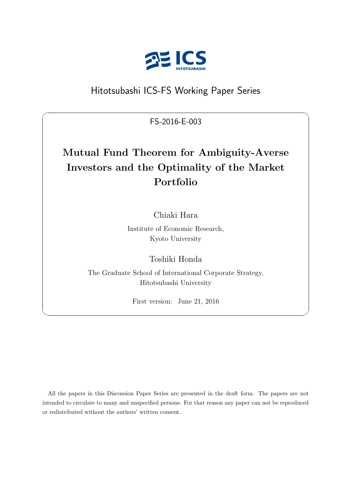

# Hitotsubashi ICS-FS Working Paper Series

FS-2016-E-003

 $\sqrt{2\pi}$ 

# **Mutual Fund Theorem for Ambiguity-Averse Investors and the Optimality of the Market Portfolio**

Chiaki Hara

Institute of Economic Research, Kyoto University

Toshiki Honda

The Graduate School of International Corporate Strategy, Hitotsubashi University

First version: June 21, 2016

✒ ✑

All the papers in this Discussion Paper Series are presented in the draft form. The papers are not intended to circulate to many and unspecified persons. For that reason any paper can not be reproduced or redistributed without the authors' written consent.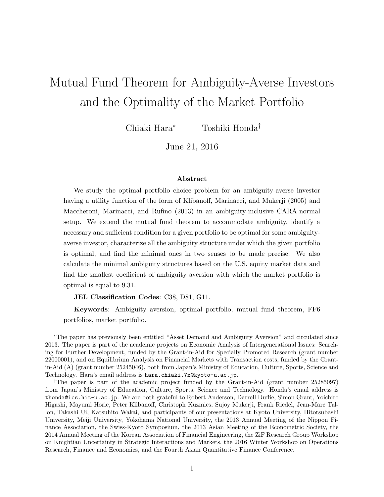# Mutual Fund Theorem for Ambiguity-Averse Investors and the Optimality of the Market Portfolio

Chiaki Hara*<sup>∗</sup>* Toshiki Honda*†*

June 21, 2016

#### **Abstract**

We study the optimal portfolio choice problem for an ambiguity-averse investor having a utility function of the form of Klibanoff, Marinacci, and Mukerji (2005) and Maccheroni, Marinacci, and Rufino (2013) in an ambiguity-inclusive CARA-normal setup. We extend the mutual fund theorem to accommodate ambiguity, identify a necessary and sufficient condition for a given portfolio to be optimal for some ambiguityaverse investor, characterize all the ambiguity structure under which the given portfolio is optimal, and find the minimal ones in two senses to be made precise. We also calculate the minimal ambiguity structures based on the U.S. equity market data and find the smallest coefficient of ambiguity aversion with which the market portfolio is optimal is equal to 9.31.

**JEL Classification Codes**: C38, D81, G11.

**Keywords**: Ambiguity aversion, optimal portfolio, mutual fund theorem, FF6 portfolios, market portfolio.

*<sup>∗</sup>*The paper has previously been entitled "Asset Demand and Ambiguity Aversion" and circulated since 2013. The paper is part of the academic projects on Economic Analysis of Intergenerational Issues: Searching for Further Development, funded by the Grant-in-Aid for Specially Promoted Research (grant number 22000001), and on Equilibrium Analysis on Financial Markets with Transaction costs, funded by the Grantin-Aid (A) (grant number 25245046), both from Japan's Ministry of Education, Culture, Sports, Science and Technology. Hara's email address is hara.chiaki.7x@kyoto-u.ac.jp.

*<sup>†</sup>*The paper is part of the academic project funded by the Grant-in-Aid (grant number 25285097) from Japan's Ministry of Education, Culture, Sports, Science and Technology. Honda's email address is thonda@ics.hit-u.ac.jp. We are both grateful to Robert Anderson, Darrell Duffie, Simon Grant, Yoichiro Higashi, Mayumi Horie, Peter Klibanoff, Christoph Kuzmics, Sujoy Mukerji, Frank Riedel, Jean-Marc Tallon, Takashi Ui, Katsuhito Wakai, and participants of our presentations at Kyoto University, Hitotsubashi University, Meiji University, Yokohama National University, the 2013 Annual Meeting of the Nippon Finance Association, the Swiss-Kyoto Symposium, the 2013 Asian Meeting of the Econometric Society, the 2014 Annual Meeting of the Korean Association of Financial Engineering, the ZiF Research Group Workshop on Knightian Uncertainty in Strategic Interactions and Markets, the 2016 Winter Workshop on Operations Research, Finance and Economics, and the Fourth Asian Quantitative Finance Conference.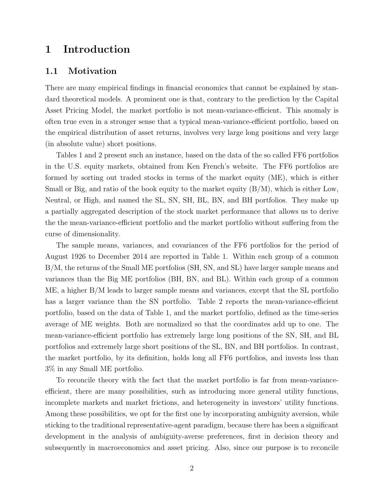## **1 Introduction**

#### **1.1 Motivation**

There are many empirical findings in financial economics that cannot be explained by standard theoretical models. A prominent one is that, contrary to the prediction by the Capital Asset Pricing Model, the market portfolio is not mean-variance-efficient. This anomaly is often true even in a stronger sense that a typical mean-variance-efficient portfolio, based on the empirical distribution of asset returns, involves very large long positions and very large (in absolute value) short positions.

Tables 1 and 2 present such an instance, based on the data of the so called FF6 portfolios in the U.S. equity markets, obtained from Ken French's website. The FF6 portfolios are formed by sorting out traded stocks in terms of the market equity (ME), which is either Small or Big, and ratio of the book equity to the market equity  $(B/M)$ , which is either Low, Neutral, or High, and named the SL, SN, SH, BL, BN, and BH portfolios. They make up a partially aggregated description of the stock market performance that allows us to derive the the mean-variance-efficient portfolio and the market portfolio without suffering from the curse of dimensionality.

The sample means, variances, and covariances of the FF6 portfolios for the period of August 1926 to December 2014 are reported in Table 1. Within each group of a common B/M, the returns of the Small ME portfolios (SH, SN, and SL) have larger sample means and variances than the Big ME portfolios (BH, BN, and BL). Within each group of a common ME, a higher B/M leads to larger sample means and variances, except that the SL portfolio has a larger variance than the SN portfolio. Table 2 reports the mean-variance-efficient portfolio, based on the data of Table 1, and the market portfolio, defined as the time-series average of ME weights. Both are normalized so that the coordinates add up to one. The mean-variance-efficient portfolio has extremely large long positions of the SN, SH, and BL portfolios and extremely large short positions of the SL, BN, and BH portfolios. In contrast, the market portfolio, by its definition, holds long all FF6 portfolios, and invests less than 3% in any Small ME portfolio.

To reconcile theory with the fact that the market portfolio is far from mean-varianceefficient, there are many possibilities, such as introducing more general utility functions, incomplete markets and market frictions, and heterogeneity in investors' utility functions. Among these possibilities, we opt for the first one by incorporating ambiguity aversion, while sticking to the traditional representative-agent paradigm, because there has been a significant development in the analysis of ambiguity-averse preferences, first in decision theory and subsequently in macroeconomics and asset pricing. Also, since our purpose is to reconcile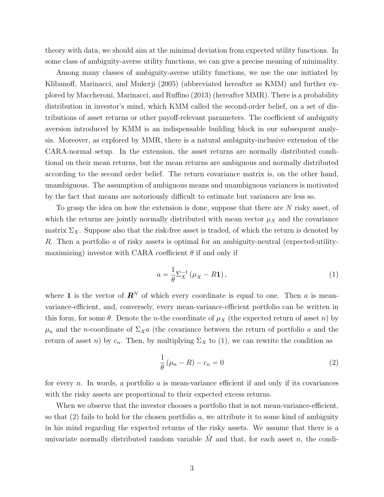theory with data, we should aim at the minimal deviation from expected utility functions. In some class of ambiguity-averse utility functions, we can give a precise meaning of minimality.

Among many classes of ambiguity-averse utility functions, we use the one initiated by Klibanoff, Marinacci, and Mukerji (2005) (abbreviated hereafter as KMM) and further explored by Maccheroni, Marinacci, and Ruffino (2013) (hereafter MMR). There is a probability distribution in investor's mind, which KMM called the second-order belief, on a set of distributions of asset returns or other payoff-relevant parameters. The coefficient of ambiguity aversion introduced by KMM is an indispensable building block in our subsequent analysis. Moreover, as explored by MMR, there is a natural ambiguity-inclusive extension of the CARA-normal setup. In the extension, the asset returns are normally distributed conditional on their mean returns, but the mean returns are ambiguous and normally distributed according to the second order belief. The return covariance matrix is, on the other hand, unambiguous. The assumption of ambiguous means and unambiguous variances is motivated by the fact that means are notoriously difficult to estimate but variances are less so.

To grasp the idea on how the extension is done, suppose that there are *N* risky asset, of which the returns are jointly normally distributed with mean vector  $\mu_X$  and the covariance matrix  $\Sigma_X$ . Suppose also that the risk-free asset is traded, of which the return is denoted by *R*. Then a portfolio *a* of risky assets is optimal for an ambiguity-neutral (expected-utilitymaximizing) investor with CARA coefficient  $\theta$  if and only if

$$
a = \frac{1}{\theta} \Sigma_X^{-1} \left( \mu_X - R \mathbf{1} \right),\tag{1}
$$

where **1** is the vector of  $\mathbb{R}^N$  of which every coordinate is equal to one. Then *a* is meanvariance-efficient, and, conversely, every mean-variance-efficient portfolio can be written in this form, for some  $\theta$ . Denote the *n*-the coordinate of  $\mu_X$  (the expected return of asset *n*) by  $\mu_n$  and the *n*-coordinate of  $\Sigma_X a$  (the covariance between the return of portfolio *a* and the return of asset *n*) by  $c_n$ . Then, by multiplying  $\Sigma_X$  to (1), we can rewrite the condition as

$$
\frac{1}{\theta} \left( \mu_n - R \right) - c_n = 0 \tag{2}
$$

for every *n*. In words, a portfolio *a* is mean-variance efficient if and only if its covariances with the risky assets are proportional to their expected excess returns.

When we observe that the investor chooses a portfolio that is not mean-variance-efficient, so that (2) fails to hold for the chosen portfolio *a*, we attribute it to some kind of ambiguity in his mind regarding the expected returns of the risky assets. We assume that there is a univariate normally distributed random variable  $\hat{M}$  and that, for each asset *n*, the condi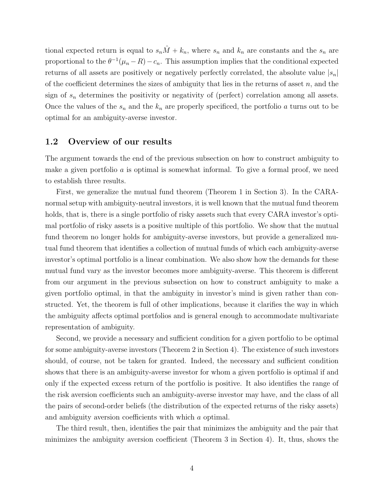tional expected return is equal to  $s_n\hat{M} + k_n$ , where  $s_n$  and  $k_n$  are constants and the  $s_n$  are proportional to the  $\theta^{-1}(\mu_n - R) - c_n$ . This assumption implies that the conditional expected returns of all assets are positively or negatively perfectly correlated, the absolute value  $|s_n|$ of the coefficient determines the sizes of ambiguity that lies in the returns of asset *n*, and the sign of  $s_n$  determines the positivity or negativity of (perfect) correlation among all assets. Once the values of the  $s_n$  and the  $k_n$  are properly specificed, the portfolio  $a$  turns out to be optimal for an ambiguity-averse investor.

#### **1.2 Overview of our results**

The argument towards the end of the previous subsection on how to construct ambiguity to make a given portfolio *a* is optimal is somewhat informal. To give a formal proof, we need to establish three results.

First, we generalize the mutual fund theorem (Theorem 1 in Section 3). In the CARAnormal setup with ambiguity-neutral investors, it is well known that the mutual fund theorem holds, that is, there is a single portfolio of risky assets such that every CARA investor's optimal portfolio of risky assets is a positive multiple of this portfolio. We show that the mutual fund theorem no longer holds for ambiguity-averse investors, but provide a generalized mutual fund theorem that identifies a collection of mutual funds of which each ambiguity-averse investor's optimal portfolio is a linear combination. We also show how the demands for these mutual fund vary as the investor becomes more ambiguity-averse. This theorem is different from our argument in the previous subsection on how to construct ambiguity to make a given portfolio optimal, in that the ambiguity in investor's mind is given rather than constructed. Yet, the theorem is full of other implications, because it clarifies the way in which the ambiguity affects optimal portfolios and is general enough to accommodate multivariate representation of ambiguity.

Second, we provide a necessary and sufficient condition for a given portfolio to be optimal for some ambiguity-averse investors (Theorem 2 in Section 4). The existence of such investors should, of course, not be taken for granted. Indeed, the necessary and sufficient condition shows that there is an ambiguity-averse investor for whom a given portfolio is optimal if and only if the expected excess return of the portfolio is positive. It also identifies the range of the risk aversion coefficients such an ambiguity-averse investor may have, and the class of all the pairs of second-order beliefs (the distribution of the expected returns of the risky assets) and ambiguity aversion coefficients with which *a* optimal.

The third result, then, identifies the pair that minimizes the ambiguity and the pair that minimizes the ambiguity aversion coefficient (Theorem 3 in Section 4). It, thus, shows the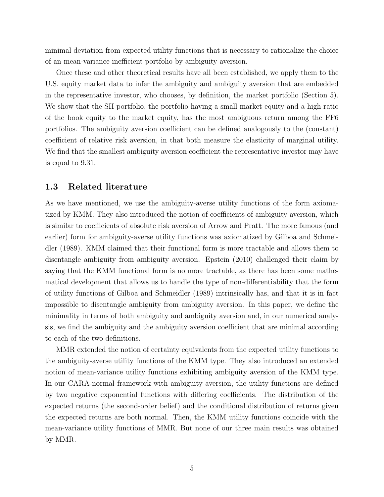minimal deviation from expected utility functions that is necessary to rationalize the choice of an mean-variance inefficient portfolio by ambiguity aversion.

Once these and other theoretical results have all been established, we apply them to the U.S. equity market data to infer the ambiguity and ambiguity aversion that are embedded in the representative investor, who chooses, by definition, the market portfolio (Section 5). We show that the SH portfolio, the portfolio having a small market equity and a high ratio of the book equity to the market equity, has the most ambiguous return among the FF6 portfolios. The ambiguity aversion coefficient can be defined analogously to the (constant) coefficient of relative risk aversion, in that both measure the elasticity of marginal utility. We find that the smallest ambiguity aversion coefficient the representative investor may have is equal to 9.31.

#### **1.3 Related literature**

As we have mentioned, we use the ambiguity-averse utility functions of the form axiomatized by KMM. They also introduced the notion of coefficients of ambiguity aversion, which is similar to coefficients of absolute risk aversion of Arrow and Pratt. The more famous (and earlier) form for ambiguity-averse utility functions was axiomatized by Gilboa and Schmeidler (1989). KMM claimed that their functional form is more tractable and allows them to disentangle ambiguity from ambiguity aversion. Epstein (2010) challenged their claim by saying that the KMM functional form is no more tractable, as there has been some mathematical development that allows us to handle the type of non-differentiability that the form of utility functions of Gilboa and Schmeidler (1989) intrinsically has, and that it is in fact impossible to disentangle ambiguity from ambiguity aversion. In this paper, we define the minimality in terms of both ambiguity and ambiguity aversion and, in our numerical analysis, we find the ambiguity and the ambiguity aversion coefficient that are minimal according to each of the two definitions.

MMR extended the notion of certainty equivalents from the expected utility functions to the ambiguity-averse utility functions of the KMM type. They also introduced an extended notion of mean-variance utility functions exhibiting ambiguity aversion of the KMM type. In our CARA-normal framework with ambiguity aversion, the utility functions are defined by two negative exponential functions with differing coefficients. The distribution of the expected returns (the second-order belief) and the conditional distribution of returns given the expected returns are both normal. Then, the KMM utility functions coincide with the mean-variance utility functions of MMR. But none of our three main results was obtained by MMR.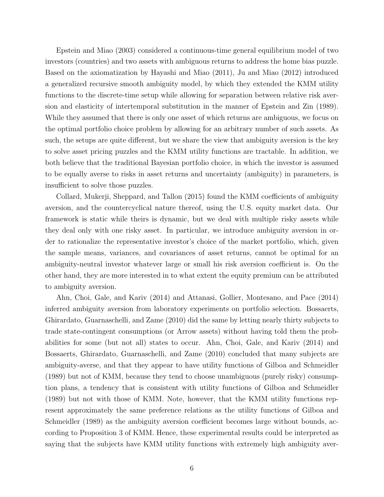Epstein and Miao (2003) considered a continuous-time general equilibrium model of two investors (countries) and two assets with ambiguous returns to address the home bias puzzle. Based on the axiomatization by Hayashi and Miao (2011), Ju and Miao (2012) introduced a generalized recursive smooth ambiguity model, by which they extended the KMM utility functions to the discrete-time setup while allowing for separation between relative risk aversion and elasticity of intertemporal substitution in the manner of Epstein and Zin (1989). While they assumed that there is only one asset of which returns are ambiguous, we focus on the optimal portfolio choice problem by allowing for an arbitrary number of such assets. As such, the setups are quite different, but we share the view that ambiguity aversion is the key to solve asset pricing puzzles and the KMM utility functions are tractable. In addition, we both believe that the traditional Bayesian portfolio choice, in which the investor is assumed to be equally averse to risks in asset returns and uncertainty (ambiguity) in parameters, is insufficient to solve those puzzles.

Collard, Mukerji, Sheppard, and Tallon (2015) found the KMM coefficients of ambiguity aversion, and the countercyclical nature thereof, using the U.S. equity market data. Our framework is static while theirs is dynamic, but we deal with multiple risky assets while they deal only with one risky asset. In particular, we introduce ambiguity aversion in order to rationalize the representative investor's choice of the market portfolio, which, given the sample means, variances, and covariances of asset returns, cannot be optimal for an ambiguity-neutral investor whatever large or small his risk aversion coefficient is. On the other hand, they are more interested in to what extent the equity premium can be attributed to ambiguity aversion.

Ahn, Choi, Gale, and Kariv (2014) and Attanasi, Gollier, Montesano, and Pace (2014) inferred ambiguity aversion from laboratory experiments on portfolio selection. Bossaerts, Ghirardato, Guarnaschelli, and Zame (2010) did the same by letting nearly thirty subjects to trade state-contingent consumptions (or Arrow assets) without having told them the probabilities for some (but not all) states to occur. Ahn, Choi, Gale, and Kariv (2014) and Bossaerts, Ghirardato, Guarnaschelli, and Zame (2010) concluded that many subjects are ambiguity-averse, and that they appear to have utility functions of Gilboa and Schmeidler (1989) but not of KMM, because they tend to choose unambiguous (purely risky) consumption plans, a tendency that is consistent with utility functions of Gilboa and Schmeidler (1989) but not with those of KMM. Note, however, that the KMM utility functions represent approximately the same preference relations as the utility functions of Gilboa and Schmeidler (1989) as the ambiguity aversion coefficient becomes large without bounds, according to Proposition 3 of KMM. Hence, these experimental results could be interpreted as saying that the subjects have KMM utility functions with extremely high ambiguity aver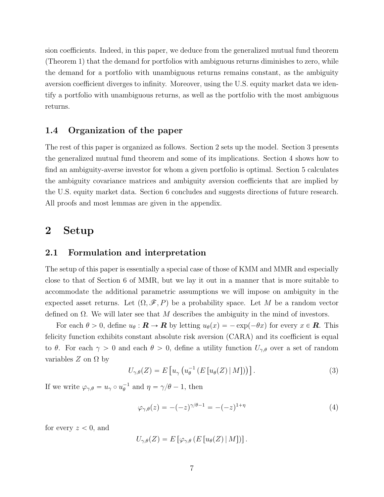sion coefficients. Indeed, in this paper, we deduce from the generalized mutual fund theorem (Theorem 1) that the demand for portfolios with ambiguous returns diminishes to zero, while the demand for a portfolio with unambiguous returns remains constant, as the ambiguity aversion coefficient diverges to infinity. Moreover, using the U.S. equity market data we identify a portfolio with unambiguous returns, as well as the portfolio with the most ambiguous returns.

#### **1.4 Organization of the paper**

The rest of this paper is organized as follows. Section 2 sets up the model. Section 3 presents the generalized mutual fund theorem and some of its implications. Section 4 shows how to find an ambiguity-averse investor for whom a given portfolio is optimal. Section 5 calculates the ambiguity covariance matrices and ambiguity aversion coefficients that are implied by the U.S. equity market data. Section 6 concludes and suggests directions of future research. All proofs and most lemmas are given in the appendix.

## **2 Setup**

#### **2.1 Formulation and interpretation**

The setup of this paper is essentially a special case of those of KMM and MMR and especially close to that of Section 6 of MMR, but we lay it out in a manner that is more suitable to accommodate the additional parametric assumptions we will impose on ambiguity in the expected asset returns. Let  $(\Omega, \mathscr{F}, P)$  be a probability space. Let *M* be a random vector defined on Ω. We will later see that *M* describes the ambiguity in the mind of investors.

For each  $\theta > 0$ , define  $u_{\theta} : \mathbf{R} \to \mathbf{R}$  by letting  $u_{\theta}(x) = -\exp(-\theta x)$  for every  $x \in \mathbf{R}$ . This felicity function exhibits constant absolute risk aversion (CARA) and its coefficient is equal to  $\theta$ . For each  $\gamma > 0$  and each  $\theta > 0$ , define a utility function  $U_{\gamma,\theta}$  over a set of random variables  $Z$  on  $\Omega$  by

$$
U_{\gamma,\theta}(Z) = E\left[u_{\gamma}\left(u_{\theta}^{-1}\left(E\left[u_{\theta}(Z)\,|\,M\right]\right)\right)\right].\tag{3}
$$

If we write  $\varphi_{\gamma,\theta} = u_{\gamma} \circ u_{\theta}^{-1}$  and  $\eta = \gamma/\theta - 1$ , then

$$
\varphi_{\gamma,\theta}(z) = -(-z)^{\gamma/\theta - 1} = -(-z)^{1+\eta} \tag{4}
$$

for every  $z < 0$ , and

$$
U_{\gamma,\theta}(Z) = E\left[\varphi_{\gamma,\theta}\left(E\left[u_{\theta}(Z)\,|\,M\right]\right)\right].
$$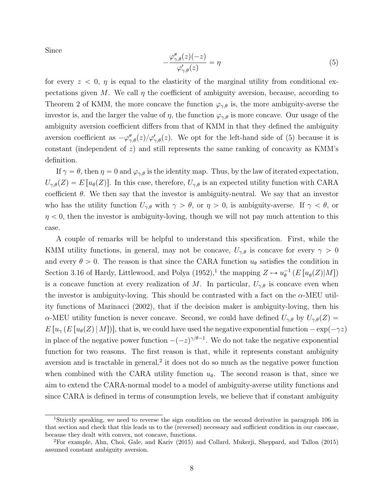Since

$$
-\frac{\varphi_{\gamma,\theta}''(z)(-z)}{\varphi_{\gamma,\theta}'(z)} = \eta
$$
\n(5)

for every  $z < 0$ ,  $\eta$  is equal to the elasticity of the marginal utility from conditional expectations given *M*. We call  $\eta$  the coefficient of ambiguity aversion, because, according to Theorem 2 of KMM, the more concave the function  $\varphi_{\gamma,\theta}$  is, the more ambiguity-averse the investor is, and the larger the value of *η*, the function  $\varphi_{\gamma,\theta}$  is more concave. Our usage of the ambiguity aversion coefficient differs from that of KMM in that they defined the ambiguity aversion coefficient as  $-\varphi''_{\gamma,\theta}(z)/\varphi'_{\gamma,\theta}(z)$ . We opt for the left-hand side of (5) because it is constant (independent of *z*) and still represents the same ranking of concavity as KMM's definition.

If  $\gamma = \theta$ , then  $\eta = 0$  and  $\varphi_{\gamma,\theta}$  is the identity map. Thus, by the law of iterated expectation,  $U_{\gamma,\theta}(Z) = E[u_{\theta}(Z)]$ . In this case, therefore,  $U_{\gamma,\theta}$  is an expected utility function with CARA coefficient  $\theta$ . We then say that the investor is ambiguity-neutral. We say that an investor who has the utility function  $U_{\gamma,\theta}$  with  $\gamma > \theta$ , or  $\eta > 0$ , is ambiguity-averse. If  $\gamma < \theta$ , or  $\eta$   $<$  0, then the investor is ambiguity-loving, though we will not pay much attention to this case.

A couple of remarks will be helpful to understand this specification. First, while the KMM utility functions, in general, may not be concave,  $U_{\gamma,\theta}$  is concave for every  $\gamma > 0$ and every  $\theta > 0$ . The reason is that since the CARA function  $u_{\theta}$  satisfies the condition in Section 3.16 of Hardy, Littlewood, and Polya (1952),<sup>1</sup> the mapping  $Z \mapsto u_{\theta}^{-1} (E [u_{\theta}(Z)|M])$ is a concave function at every realization of *M*. In particular,  $U_{\gamma,\theta}$  is concave even when the investor is ambiguity-loving. This should be contrasted with a fact on the *α*-MEU utility functions of Marinacci (2002), that if the decision maker is ambiguity-loving, then his *α*-MEU utility function is never concave. Second, we could have defined  $U_{\gamma,\theta}$  by  $U_{\gamma,\theta}(Z)$  =  $E[u_{\gamma}(E[u_{\theta}(Z)|M])]$ , that is, we could have used the negative exponential function  $-\exp(-\gamma z)$ in place of the negative power function  $-(-z)^{\gamma/\theta-1}$ . We do not take the negative exponential function for two reasons. The first reason is that, while it represents constant ambiguity aversion and is tractable in general,<sup>2</sup> it does not do so much as the negative power function when combined with the CARA utility function  $u_{\theta}$ . The second reason is that, since we aim to extend the CARA-normal model to a model of ambiguity-averse utility functions and since CARA is defined in terms of consumption levels, we believe that if constant ambiguity

<sup>1</sup>Strictly speaking, we need to reverse the sign condition on the second derivative in paragraph 106 in that section and check that this leads us to the (reversed) necessary and sufficient condition in our casecase, because they dealt with convex, not concave, functions.

<sup>2</sup>For example, Ahn, Choi, Gale, and Kariv (2015) and Collard, Mukerji, Sheppard, and Tallon (2015) assumed constant ambiguity aversion.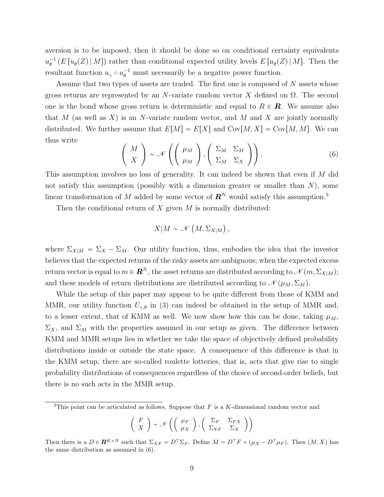aversion is to be imposed, then it should be done so on conditional certainty equivalents  $u_{\theta}^{-1}$  (*E* [ $u_{\theta}(Z) | M$ ]) rather than conditional expected utility levels  $E[u_{\theta}(Z) | M]$ . Then the resultant function  $u_{\gamma} \circ u_{\theta}^{-1}$  must necessarily be a negative power function.

Assume that two types of assets are traded. The first one is composed of *N* assets whose gross returns are represented by an *N*-variate random vector *X* defined on Ω. The second one is the bond whose gross return is deterministic and equal to  $R \in \mathbb{R}$ . We assume also that *M* (as well as *X*) is an *N*-variate random vector, and *M* and *X* are jointly normally distributed. We further assume that  $E[M] = E[X]$  and  $Cov[M, X] = Cov[M, M]$ . We can thus write

$$
\left(\begin{array}{c} M \\ X \end{array}\right) \sim \mathcal{N}\left(\left(\begin{array}{c} \mu_M \\ \mu_M \end{array}\right), \left(\begin{array}{cc} \Sigma_M & \Sigma_M \\ \Sigma_M & \Sigma_X \end{array}\right)\right). \tag{6}
$$

This assumption involves no loss of generality. It can indeed be shown that even if *M* did not satisfy this assumption (possibly with a dimension greater or smaller than *N*), some linear transformation of *M* added by some vector of  $\mathbb{R}^{N}$  would satisfy this assumption.<sup>3</sup>

Then the conditional return of *X* given *M* is normally distributed:

$$
X|M \sim \mathcal{N}(M, \Sigma_{X|M}),
$$

where  $\Sigma_{X|M} = \Sigma_X - \Sigma_M$ . Our utility function, thus, embodies the idea that the investor believes that the expected returns of the risky assets are ambiguous; when the expected excess return vector is equal to  $m \in \mathbb{R}^N$ , the asset returns are distributed according to  $\mathcal{N}(m, \Sigma_{X|M})$ ; and these models of return distributions are distributed according to  $\mathcal{N}(\mu_M, \Sigma_M)$ .

While the setup of this paper may appear to be quite different from those of KMM and MMR, our utility function  $U_{\gamma,\theta}$  in (3) can indeed be obtained in the setup of MMR and, to a lesser extent, that of KMM as well. We now show how this can be done, taking  $\mu_M$ ,  $\Sigma_X$ , and  $\Sigma_M$  with the properties assumed in our setup as given. The difference between KMM and MMR setups lies in whether we take the space of objectively defined probability distributions inside or outside the state space. A consequence of this difference is that in the KMM setup, there are so-called roulette lotteries, that is, acts that give rise to single probability distributions of consequences regardless of the choice of second-order beliefs, but there is no such acts in the MMR setup.

<sup>3</sup>This point can be articulated as follows. Suppose that *F* is a *K*-dimensional random vector and

$$
\left(\begin{array}{c} F \\ X \end{array}\right) \sim \mathcal{N}\left(\left(\begin{array}{c} \mu_F \\ \mu_X \end{array}\right), \left(\begin{array}{cc} \Sigma_F & \Sigma_{FX} \\ \Sigma_{XF} & \Sigma_X \end{array}\right)\right)
$$

Then there is a  $D \in \mathbb{R}^{K \times N}$  such that  $\Sigma_{XF} = D^{\top} \Sigma_F$ . Define  $M = D^{\top} F + (\mu_X - D^{\top} \mu_F)$ . Then  $(M, X)$  has the same distribution as assumed in (6).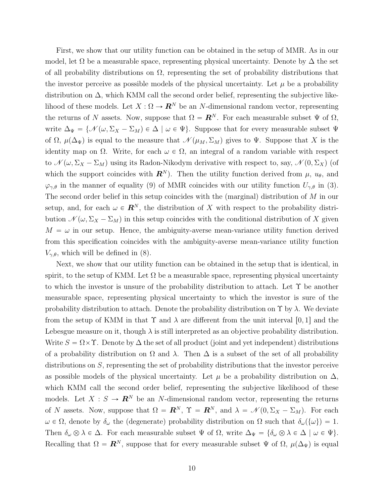First, we show that our utility function can be obtained in the setup of MMR. As in our model, let  $\Omega$  be a measurable space, representing physical uncertainty. Denote by  $\Delta$  the set of all probability distributions on  $\Omega$ , representing the set of probability distributions that the investor perceive as possible models of the physical uncertainty. Let  $\mu$  be a probability distribution on  $\Delta$ , which KMM call the second order belief, representing the subjective likelihood of these models. Let  $X : \Omega \to \mathbb{R}^N$  be an *N*-dimensional random vector, representing the returns of *N* assets. Now, suppose that  $\Omega = \mathbf{R}^N$ . For each measurable subset  $\Psi$  of  $\Omega$ , write  $\Delta_{\Psi} = {\mathcal{N}(\omega, \Sigma_X - \Sigma_M) \in \Delta \mid \omega \in \Psi}$ . Suppose that for every measurable subset  $\Psi$ of  $\Omega$ ,  $\mu(\Delta_{\Psi})$  is equal to the measure that  $\mathcal{N}(\mu_M, \Sigma_M)$  gives to  $\Psi$ . Suppose that X is the identity map on  $\Omega$ . Write, for each  $\omega \in \Omega$ , an integral of a random variable with respect to  $\mathcal{N}(\omega, \Sigma_X - \Sigma_M)$  using its Radon-Nikodym derivative with respect to, say,  $\mathcal{N}(0, \Sigma_X)$  (of which the support coincides with  $\mathbf{R}^{N}$ . Then the utility function derived from  $\mu$ ,  $u_{\theta}$ , and  $\varphi_{\gamma,\theta}$  in the manner of equality (9) of MMR coincides with our utility function  $U_{\gamma,\theta}$  in (3). The second order belief in this setup coincides with the (marginal) distribution of *M* in our setup, and, for each  $\omega \in \mathbb{R}^N$ , the distribution of X with respect to the probability distribution  $\mathcal{N}(\omega, \Sigma_X - \Sigma_M)$  in this setup coincides with the conditional distribution of X given  $M = \omega$  in our setup. Hence, the ambiguity-averse mean-variance utility function derived from this specification coincides with the ambiguity-averse mean-variance utility function  $V_{\gamma,\theta}$ , which will be defined in (8).

Next, we show that our utility function can be obtained in the setup that is identical, in spirit, to the setup of KMM. Let  $\Omega$  be a measurable space, representing physical uncertainty to which the investor is unsure of the probability distribution to attach. Let  $\Upsilon$  be another measurable space, representing physical uncertainty to which the investor is sure of the probability distribution to attach. Denote the probability distribution on Υ by *λ*. We deviate from the setup of KMM in that  $\Upsilon$  and  $\lambda$  are different from the unit interval [0, 1] and the Lebesgue measure on it, though  $\lambda$  is still interpreted as an objective probability distribution. Write  $S = \Omega \times \Upsilon$ . Denote by  $\Delta$  the set of all product (joint and yet independent) distributions of a probability distribution on  $\Omega$  and  $\lambda$ . Then  $\Delta$  is a subset of the set of all probability distributions on *S*, representing the set of probability distributions that the investor perceive as possible models of the physical uncertainty. Let  $\mu$  be a probability distribution on  $\Delta$ , which KMM call the second order belief, representing the subjective likelihood of these models. Let  $X : S \to \mathbb{R}^N$  be an *N*-dimensional random vector, representing the returns of *N* assets. Now, suppose that  $\Omega = \mathbf{R}^N$ ,  $\Upsilon = \mathbf{R}^N$ , and  $\lambda = \mathcal{N}(0, \Sigma_X - \Sigma_M)$ . For each  $\omega \in \Omega$ , denote by  $\delta_{\omega}$  the (degenerate) probability distribution on  $\Omega$  such that  $\delta_{\omega}(\{\omega\}) = 1$ . Then  $\delta_\omega \otimes \lambda \in \Delta$ . For each measurable subset  $\Psi$  of  $\Omega$ , write  $\Delta_\Psi = {\delta_\omega \otimes \lambda \in \Delta \mid \omega \in \Psi}$ . Recalling that  $\Omega = \mathbb{R}^N$ , suppose that for every measurable subset  $\Psi$  of  $\Omega$ ,  $\mu(\Delta_{\Psi})$  is equal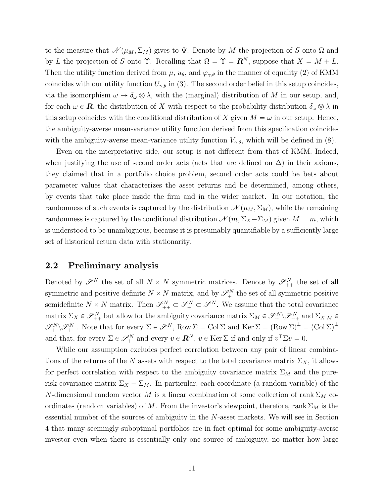to the measure that  $\mathcal{N}(\mu_M, \Sigma_M)$  gives to  $\Psi$ . Denote by M the projection of *S* onto  $\Omega$  and by *L* the projection of *S* onto  $\Upsilon$ . Recalling that  $\Omega = \Upsilon = \mathbb{R}^N$ , suppose that  $X = M + L$ . Then the utility function derived from  $\mu$ ,  $u_{\theta}$ , and  $\varphi_{\gamma,\theta}$  in the manner of equality (2) of KMM coincides with our utility function  $U_{\gamma,\theta}$  in (3). The second order belief in this setup coincides, via the isomorphism  $\omega \mapsto \delta_{\omega} \otimes \lambda$ , with the (marginal) distribution of *M* in our setup, and, for each  $\omega \in \mathbf{R}$ , the distribution of *X* with respect to the probability distribution  $\delta_{\omega} \otimes \lambda$  in this setup coincides with the conditional distribution of *X* given  $M = \omega$  in our setup. Hence, the ambiguity-averse mean-variance utility function derived from this specification coincides with the ambiguity-averse mean-variance utility function  $V_{\gamma,\theta}$ , which will be defined in (8).

Even on the interpretative side, our setup is not different from that of KMM. Indeed, when justifying the use of second order acts (acts that are defined on  $\Delta$ ) in their axioms, they claimed that in a portfolio choice problem, second order acts could be bets about parameter values that characterizes the asset returns and be determined, among others, by events that take place inside the firm and in the wider market. In our notation, the randomness of such events is captured by the distribution  $\mathcal{N}(\mu_M, \Sigma_M)$ , while the remaining randomness is captured by the conditional distribution  $\mathcal{N}(m, \Sigma_X - \Sigma_M)$  given  $M = m$ , which is understood to be unambiguous, because it is presumably quantifiable by a sufficiently large set of historical return data with stationarity.

#### **2.2 Preliminary analysis**

Denoted by  $\mathscr{S}^N$  the set of all  $N \times N$  symmetric matrices. Denote by  $\mathscr{S}^N_{++}$  the set of all symmetric and positive definite  $N \times N$  matrix, and by  $\mathscr{S}_{+}^{N}$  the set of all symmetric positive semidefinite  $N \times N$  matrix. Then  $\mathscr{S}_{++}^N \subset \mathscr{S}_+^N \subset \mathscr{S}^N$ . We assume that the total covariance  $\text{matrix }\Sigma_X \in \mathscr{S}_{++}^N \text{ but allow for the ambiguity covariance matrix } \Sigma_M \in \mathscr{S}_{++}^N \backslash \mathscr{S}_{++}^N \text{ and } \Sigma_{X|M} \in \mathscr{S}_{++}^N \backslash \mathscr{S}_{++}^N$  $\mathscr{S}_{+}^{N} \backslash \mathscr{S}_{++}^{N}$ . Note that for every  $\Sigma \in \mathscr{S}^{N}$ , Row  $\Sigma = \text{Col } \Sigma$  and  $\text{Ker } \Sigma = (\text{Row } \Sigma)^{\perp} = (\text{Col } \Sigma)^{\perp}$ and that, for every  $\Sigma \in \mathcal{S}_+^N$  and every  $v \in \mathbb{R}^N$ ,  $v \in \text{Ker } \Sigma$  if and only if  $v^\top \Sigma v = 0$ .

While our assumption excludes perfect correlation between any pair of linear combinations of the returns of the *N* assets with respect to the total covariance matrix  $\Sigma_X$ , it allows for perfect correlation with respect to the ambiguity covariance matrix  $\Sigma_M$  and the purerisk covariance matrix  $\Sigma_X - \Sigma_M$ . In particular, each coordinate (a random variable) of the *N*-dimensional random vector *M* is a linear combination of some collection of rank  $\Sigma_M$  coordinates (random variables) of *M*. From the investor's viewpoint, therefore, rank  $\Sigma_M$  is the essential number of the sources of ambiguity in the *N*-asset markets. We will see in Section 4 that many seemingly suboptimal portfolios are in fact optimal for some ambiguity-averse investor even when there is essentially only one source of ambiguity, no matter how large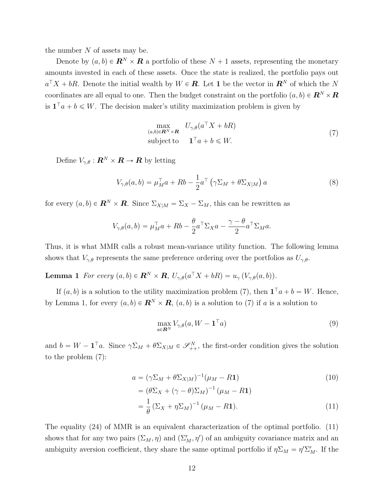the number *N* of assets may be.

Denote by  $(a, b) \in \mathbb{R}^N \times \mathbb{R}$  a portfolio of these  $N + 1$  assets, representing the monetary amounts invested in each of these assets. Once the state is realized, the portfolio pays out  $a^{\top}X + bR$ . Denote the initial wealth by  $W \in \mathbf{R}$ . Let 1 be the vector in  $\mathbf{R}^N$  of which the *N* coordinates are all equal to one. Then the budget constraint on the portfolio  $(a, b) \in \mathbb{R}^N \times \mathbb{R}$ is  $\mathbf{1}^\top a + b \leqslant W$ . The decision maker's utility maximization problem is given by

$$
\max_{(a,b)\in\mathbf{R}^N\times\mathbf{R}} U_{\gamma,\theta}(a^{\top}X + bR)
$$
  
subject to  $\mathbf{1}^{\top}a + b \leq W.$  (7)

Define  $V_{\gamma,\theta}: \mathbf{R}^N \times \mathbf{R} \to \mathbf{R}$  by letting

$$
V_{\gamma,\theta}(a,b) = \mu_M^{\top} a + Rb - \frac{1}{2} a^{\top} \left( \gamma \Sigma_M + \theta \Sigma_{X|M} \right) a \tag{8}
$$

for every  $(a, b) \in \mathbb{R}^N \times \mathbb{R}$ . Since  $\Sigma_{X|M} = \Sigma_X - \Sigma_M$ , this can be rewritten as

$$
V_{\gamma,\theta}(a,b) = \mu_M^{\top} a + Rb - \frac{\theta}{2} a^{\top} \Sigma_X a - \frac{\gamma - \theta}{2} a^{\top} \Sigma_M a.
$$

Thus, it is what MMR calls a robust mean-variance utility function. The following lemma shows that  $V_{\gamma,\theta}$  represents the same preference ordering over the portfolios as  $U_{\gamma,\theta}$ .

**Lemma 1** *For every*  $(a, b) \in \mathbb{R}^N \times \mathbb{R}$ ,  $U_{\gamma, \theta}(a^{\top}X + bR) = u_{\gamma}(V_{\gamma, \theta}(a, b)).$ 

If  $(a, b)$  is a solution to the utility maximization problem (7), then  $\mathbf{1}^{\top}a + b = W$ . Hence, by Lemma 1, for every  $(a, b) \in \mathbb{R}^N \times \mathbb{R}$ ,  $(a, b)$  is a solution to (7) if *a* is a solution to

$$
\max_{a \in \mathbb{R}^N} V_{\gamma, \theta}(a, W - \mathbf{1}^\top a) \tag{9}
$$

and  $b = W - \mathbf{1}^\top a$ . Since  $\gamma \Sigma_M + \theta \Sigma_{X|M} \in \mathscr{S}_{++}^N$ , the first-order condition gives the solution to the problem (7):

$$
a = (\gamma \Sigma_M + \theta \Sigma_{X|M})^{-1} (\mu_M - R\mathbf{1})
$$
  
\n
$$
= (\theta \Sigma_X + (\gamma - \theta) \Sigma_M)^{-1} (\mu_M - R\mathbf{1})
$$
  
\n
$$
= \frac{1}{\theta} (\Sigma_X + \eta \Sigma_M)^{-1} (\mu_M - R\mathbf{1}).
$$
\n(11)

The equality (24) of MMR is an equivalent characterization of the optimal portfolio. (11) shows that for any two pairs  $(\Sigma_M, \eta)$  and  $(\Sigma'_M, \eta')$  of an ambiguity covariance matrix and an ambiguity aversion coefficient, they share the same optimal portfolio if  $\eta \Sigma_M = \eta' \Sigma'_M$ . If the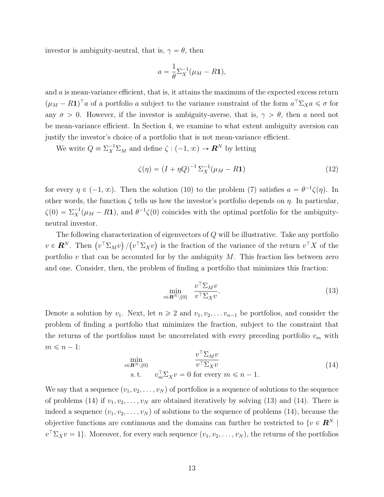investor is ambiguity-neutral, that is,  $\gamma = \theta$ , then

$$
a = \frac{1}{\theta} \Sigma_X^{-1} (\mu_M - R\mathbf{1}),
$$

and *a* is mean-variance efficient, that is, it attains the maximum of the expected excess return  $(\mu_M - R\mathbf{1})^\top a$  of a portfolio *a* subject to the variance constraint of the form  $a^\top \Sigma_X a \leq \sigma$  for any  $\sigma > 0$ . However, if the investor is ambiguity-averse, that is,  $\gamma > \theta$ , then *a* need not be mean-variance efficient. In Section 4, we examine to what extent ambiguity aversion can justify the investor's choice of a portfolio that is not mean-variance efficient.

We write  $Q = \sum_{X}^{-1} \sum_{M}$  and define  $\zeta : (-1, \infty) \to \mathbb{R}^{N}$  by letting

$$
\zeta(\eta) = (I + \eta Q)^{-1} \sum_{X}^{-1} (\mu_M - R\mathbf{1}) \tag{12}
$$

for every  $\eta \in (-1, \infty)$ . Then the solution (10) to the problem (7) satisfies  $a = \theta^{-1}\zeta(\eta)$ . In other words, the function *ζ* tells us how the investor's portfolio depends on *η*. In particular,  $\zeta(0) = \sum_{X}^{-1}(\mu_M - R\mathbf{1}),$  and  $\theta^{-1}\zeta(0)$  coincides with the optimal portfolio for the ambiguityneutral investor.

The following characterization of eigenvectors of *Q* will be illustrative. Take any portfolio  $v \in \mathbf{R}^N$ . Then  $(v^\top \Sigma_M v) / (v^\top \Sigma_X v)$  is the fraction of the variance of the return  $v^\top X$  of the portfolio *v* that can be accounted for by the ambiguity *M*. This fraction lies between zero and one. Consider, then, the problem of finding a portfolio that minimizes this fraction:

$$
\min_{v \in \mathbf{R}^N \setminus \{0\}} \quad \frac{v^\top \Sigma_M v}{v^\top \Sigma_X v}.\tag{13}
$$

Denote a solution by  $v_1$ . Next, let  $n \geq 2$  and  $v_1, v_2, \ldots v_{n-1}$  be portfolios, and consider the problem of finding a portfolio that minimizes the fraction, subject to the constraint that the returns of the portfolios must be uncorrelated with every preceding portfolio  $v_m$  with  $m \leq n - 1$ :

$$
\min_{v \in \mathbf{R}^N \setminus \{0\}} \quad \frac{v^\top \Sigma_M v}{v^\top \Sigma_X v} \tag{14}
$$
\n
$$
\text{s.t.} \quad v_m^\top \Sigma_X v = 0 \text{ for every } m \leq n - 1.
$$

We say that a sequence  $(v_1, v_2, \ldots, v_N)$  of portfolios is a sequence of solutions to the sequence of problems (14) if  $v_1, v_2, \ldots, v_N$  are obtained iteratively by solving (13) and (14). There is indeed a sequence  $(v_1, v_2, \ldots, v_N)$  of solutions to the sequence of problems (14), because the objective functions are continuous and the domains can further be restricted to  $\{v \in \mathbb{R}^N \mid$  $v^{\top} \Sigma_X v = 1$ . Moreover, for every such sequence  $(v_1, v_2, \ldots, v_N)$ , the returns of the portfolios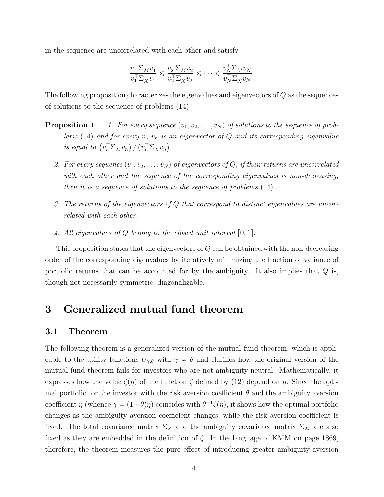in the sequence are uncorrelated with each other and satisfy

$$
\frac{v_1^\top \Sigma_M v_1}{v_1^\top \Sigma_X v_1} \leqslant \frac{v_2^\top \Sigma_M v_2}{v_2^\top \Sigma_X v_2} \leqslant \cdots \leqslant \frac{v_N^\top \Sigma_M v_N}{v_N^\top \Sigma_X v_N}.
$$

The following proposition characterizes the eigenvalues and eigenvectors of *Q* as the sequences of solutions to the sequence of problems (14).

- **Proposition 1** *1. For every sequence*  $(v_1, v_2, \ldots, v_N)$  of solutions to the sequence of prob*lems* (14) *and for every n, v<sup>n</sup> is an eigenvector of Q and its corresponding eigenvalue*  $\int v_n^T \Sigma_M v_n \int f(v_n^T \Sigma_X v_n) \, dv_n$ .
	- 2. For every sequence  $(v_1, v_2, \ldots, v_N)$  of eigenvectors of Q, if their returns are uncorrelated *with each other and the sequence of the corresponding eigenvalues is non-decreasing, then it is a sequence of solutions to the sequence of problems* (14)*.*
	- *3. The returns of the eigenvectors of Q that correspond to distinct eigenvalues are uncorrelated with each other.*
	- 4. All eigenvalues of  $Q$  belong to the closed unit interval  $[0,1]$ .

This proposition states that the eigenvectors of *Q* can be obtained with the non-decreasing order of the corresponding eigenvalues by iteratively minimizing the fraction of variance of portfolio returns that can be accounted for by the ambiguity. It also implies that *Q* is, though not necessarily symmetric, diagonalizable.

# **3 Generalized mutual fund theorem**

#### **3.1 Theorem**

The following theorem is a generalized version of the mutual fund theorem, which is applicable to the utility functions  $U_{\gamma,\theta}$  with  $\gamma \neq \theta$  and clarifies how the original version of the mutual fund theorem fails for investors who are not ambiguity-neutral. Mathematically, it expresses how the value  $\zeta(\eta)$  of the function  $\zeta$  defined by (12) depend on  $\eta$ . Since the optimal portfolio for the investor with the risk aversion coefficient  $\theta$  and the ambiguity aversion coefficient *η* (whence  $\gamma = (1+\theta)\eta$ ) coincides with  $\theta^{-1}\zeta(\eta)$ , it shows how the optimal portfolio changes as the ambiguity aversion coefficient changes, while the risk aversion coefficient is fixed. The total covariance matrix  $\Sigma_X$  and the ambiguity covariance matrix  $\Sigma_M$  are also fixed as they are embedded in the definition of *ζ*. In the language of KMM on page 1869, therefore, the theorem measures the pure effect of introducing greater ambiguity aversion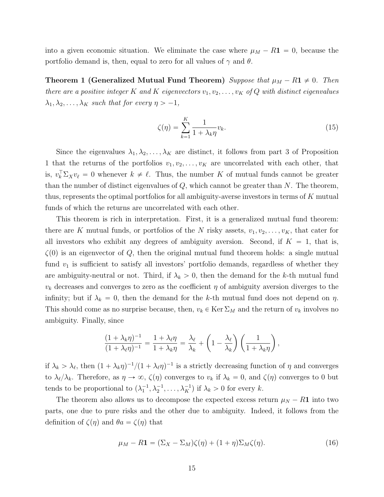into a given economic situation. We eliminate the case where  $\mu_M - R\mathbf{1} = 0$ , because the portfolio demand is, then, equal to zero for all values of  $\gamma$  and  $\theta$ .

**Theorem 1 (Generalized Mutual Fund Theorem)** *Suppose that*  $\mu_M - R\mathbf{1} \neq 0$ . Then *there are a positive integer*  $K$  *and*  $K$  *eigenvectors*  $v_1, v_2, \ldots, v_K$  *of*  $Q$  *with distinct eigenvalues*  $\lambda_1, \lambda_2, \ldots, \lambda_K$  *such that for every*  $\eta > -1$ *,* 

$$
\zeta(\eta) = \sum_{k=1}^{K} \frac{1}{1 + \lambda_k \eta} v_k.
$$
\n(15)

Since the eigenvalues  $\lambda_1, \lambda_2, \ldots, \lambda_K$  are distinct, it follows from part 3 of Proposition 1 that the returns of the portfolios  $v_1, v_2, \ldots, v_K$  are uncorrelated with each other, that is,  $v_k^{\top} \Sigma_X v_{\ell} = 0$  whenever  $k \neq \ell$ . Thus, the number *K* of mutual funds cannot be greater than the number of distinct eigenvalues of *Q*, which cannot be greater than *N*. The theorem, thus, represents the optimal portfolios for all ambiguity-averse investors in terms of *K* mutual funds of which the returns are uncorrelated with each other.

This theorem is rich in interpretation. First, it is a generalized mutual fund theorem: there are *K* mutual funds, or portfolios of the *N* risky assets,  $v_1, v_2, \ldots, v_K$ , that cater for all investors who exhibit any degrees of ambiguity aversion. Second, if  $K = 1$ , that is,  $\zeta(0)$  is an eigenvector of *Q*, then the original mutual fund theorem holds: a single mutual fund  $v_1$  is sufficient to satisfy all investors' portfolio demands, regardless of whether they are ambiguity-neutral or not. Third, if  $\lambda_k > 0$ , then the demand for the *k*-th mutual fund  $v_k$  decreases and converges to zero as the coefficient  $\eta$  of ambiguity aversion diverges to the infinity; but if  $\lambda_k = 0$ , then the demand for the *k*-th mutual fund does not depend on *η*. This should come as no surprise because, then,  $v_k \in \text{Ker } \Sigma_M$  and the return of  $v_k$  involves no ambiguity. Finally, since

$$
\frac{(1+\lambda_k\eta)^{-1}}{(1+\lambda_\ell\eta)^{-1}} = \frac{1+\lambda_\ell\eta}{1+\lambda_k\eta} = \frac{\lambda_\ell}{\lambda_k} + \left(1-\frac{\lambda_\ell}{\lambda_k}\right)\left(\frac{1}{1+\lambda_k\eta}\right),
$$

if  $\lambda_k > \lambda_{\ell}$ , then  $(1 + \lambda_k \eta)^{-1}/(1 + \lambda_{\ell} \eta)^{-1}$  is a strictly decreasing function of  $\eta$  and converges to  $\lambda_{\ell}/\lambda_{k}$ . Therefore, as  $\eta \to \infty$ ,  $\zeta(\eta)$  converges to  $v_{k}$  if  $\lambda_{k} = 0$ , and  $\zeta(\eta)$  converges to 0 but tends to be proportional to  $(\lambda_1^{-1}, \lambda_2^{-1}, \dots, \lambda_K^{-1})$  if  $\lambda_k > 0$  for every *k*.

The theorem also allows us to decompose the expected excess return  $\mu_N - R$ **1** into two parts, one due to pure risks and the other due to ambiguity. Indeed, it follows from the definition of  $\zeta(\eta)$  and  $\theta a = \zeta(\eta)$  that

$$
\mu_M - R\mathbf{1} = (\Sigma_X - \Sigma_M)\zeta(\eta) + (1+\eta)\Sigma_M\zeta(\eta). \tag{16}
$$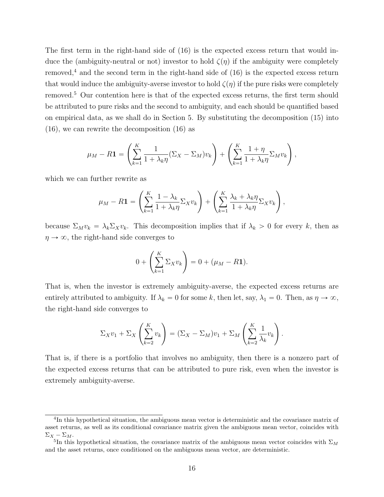The first term in the right-hand side of (16) is the expected excess return that would induce the (ambiguity-neutral or not) investor to hold  $\zeta(\eta)$  if the ambiguity were completely removed,<sup>4</sup> and the second term in the right-hand side of  $(16)$  is the expected excess return that would induce the ambiguity-averse investor to hold  $\zeta(\eta)$  if the pure risks were completely removed.<sup>5</sup> Our contention here is that of the expected excess returns, the first term should be attributed to pure risks and the second to ambiguity, and each should be quantified based on empirical data, as we shall do in Section 5. By substituting the decomposition (15) into (16), we can rewrite the decomposition (16) as

$$
\mu_M - R\mathbf{1} = \left(\sum_{k=1}^K \frac{1}{1 + \lambda_k \eta} (\Sigma_X - \Sigma_M) v_k\right) + \left(\sum_{k=1}^K \frac{1 + \eta}{1 + \lambda_k \eta} \Sigma_M v_k\right),
$$

which we can further rewrite as

$$
\mu_M - R\mathbf{1} = \left(\sum_{k=1}^K \frac{1-\lambda_k}{1+\lambda_k \eta} \Sigma_X v_k\right) + \left(\sum_{k=1}^K \frac{\lambda_k + \lambda_k \eta}{1+\lambda_k \eta} \Sigma_X v_k\right),
$$

because  $\Sigma_M v_k = \lambda_k \Sigma_X v_k$ . This decomposition implies that if  $\lambda_k > 0$  for every *k*, then as  $\eta \rightarrow \infty$ , the right-hand side converges to

$$
0 + \left(\sum_{k=1}^K \Sigma_X v_k\right) = 0 + (\mu_M - R\mathbf{1}).
$$

That is, when the investor is extremely ambiguity-averse, the expected excess returns are entirely attributed to ambiguity. If  $\lambda_k = 0$  for some k, then let, say,  $\lambda_1 = 0$ . Then, as  $\eta \to \infty$ , the right-hand side converges to

$$
\Sigma_X v_1 + \Sigma_X \left( \sum_{k=2}^K v_k \right) = (\Sigma_X - \Sigma_M) v_1 + \Sigma_M \left( \sum_{k=2}^K \frac{1}{\lambda_k} v_k \right).
$$

That is, if there is a portfolio that involves no ambiguity, then there is a nonzero part of the expected excess returns that can be attributed to pure risk, even when the investor is extremely ambiguity-averse.

<sup>&</sup>lt;sup>4</sup>In this hypothetical situation, the ambiguous mean vector is deterministic and the covariance matrix of asset returns, as well as its conditional covariance matrix given the ambiguous mean vector, coincides with  $\Sigma_X - \Sigma_M$ .

<sup>&</sup>lt;sup>5</sup>In this hypothetical situation, the covariance matrix of the ambiguous mean vector coincides with  $\Sigma_M$ and the asset returns, once conditioned on the ambiguous mean vector, are deterministic.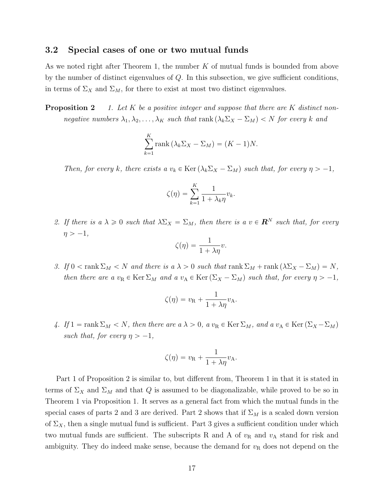#### **3.2 Special cases of one or two mutual funds**

As we noted right after Theorem 1, the number *K* of mutual funds is bounded from above by the number of distinct eigenvalues of *Q*. In this subsection, we give sufficient conditions, in terms of  $\Sigma_X$  and  $\Sigma_M$ , for there to exist at most two distinct eigenvalues.

**Proposition 2** *1. Let K be a positive integer and suppose that there are K distinct nonnegative numbers*  $\lambda_1, \lambda_2, \ldots, \lambda_K$  *such that* rank  $(\lambda_k \Sigma_X - \Sigma_M) < N$  for every *k* and

$$
\sum_{k=1}^{K} \text{rank} \left( \lambda_k \Sigma_X - \Sigma_M \right) = (K - 1)N.
$$

*Then, for every k, there exists a*  $v_k \in \text{Ker}(\lambda_k \Sigma_X - \Sigma_M)$  *such that, for every*  $\eta > -1$ *,* 

$$
\zeta(\eta) = \sum_{k=1}^K \frac{1}{1 + \lambda_k \eta} v_k.
$$

*2. If there is a*  $\lambda \geq 0$  *such that*  $\lambda \Sigma_X = \Sigma_M$ *, then there is a*  $v \in \mathbb{R}^N$  *such that, for every*  $\eta > -1$ ,

$$
\zeta(\eta) = \frac{1}{1 + \lambda \eta} v.
$$

*3. If*  $0 < \text{rank } \Sigma_M < N$  *and there is a*  $\lambda > 0$  *such that*  $\text{rank } \Sigma_M + \text{rank } (\lambda \Sigma_X - \Sigma_M) = N$ , *then there are a*  $v_R \in \text{Ker } \Sigma_M$  *and a*  $v_A \in \text{Ker } (\Sigma_X - \Sigma_M)$  *such that, for every*  $\eta > -1$ *,* 

$$
\zeta(\eta) = v_{\mathcal{R}} + \frac{1}{1 + \lambda \eta} v_{\mathcal{A}}.
$$

*4.* If  $1 = \text{rank } \Sigma_M < N$ , then there are  $a \lambda > 0$ ,  $a v_R \in \text{Ker } \Sigma_M$ , and  $a v_A \in \text{Ker } (\Sigma_X - \Sigma_M)$ *such that, for every*  $\eta > -1$ ,

$$
\zeta(\eta) = v_{\mathcal{R}} + \frac{1}{1 + \lambda \eta} v_{\mathcal{A}}.
$$

Part 1 of Proposition 2 is similar to, but different from, Theorem 1 in that it is stated in terms of  $\Sigma_X$  and  $\Sigma_M$  and that Q is assumed to be diagonalizable, while proved to be so in Theorem 1 via Proposition 1. It serves as a general fact from which the mutual funds in the special cases of parts 2 and 3 are derived. Part 2 shows that if  $\Sigma_M$  is a scaled down version of  $\Sigma_X$ , then a single mutual fund is sufficient. Part 3 gives a sufficient condition under which two mutual funds are sufficient. The subscripts R and A of  $v_R$  and  $v_A$  stand for risk and ambiguity. They do indeed make sense, because the demand for  $v_R$  does not depend on the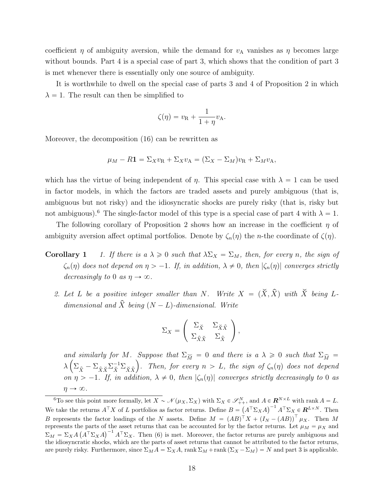coefficient  $\eta$  of ambiguity aversion, while the demand for  $v_A$  vanishes as  $\eta$  becomes large without bounds. Part 4 is a special case of part 3, which shows that the condition of part 3 is met whenever there is essentially only one source of ambiguity.

It is worthwhile to dwell on the special case of parts 3 and 4 of Proposition 2 in which  $\lambda = 1$ . The result can then be simplified to

$$
\zeta(\eta) = v_{\mathcal{R}} + \frac{1}{1+\eta}v_{\mathcal{A}}.
$$

Moreover, the decomposition (16) can be rewritten as

$$
\mu_M - R\mathbf{1} = \Sigma_X v_R + \Sigma_X v_A = (\Sigma_X - \Sigma_M)v_R + \Sigma_M v_A,
$$

which has the virtue of being independent of *η*. This special case with  $\lambda = 1$  can be used in factor models, in which the factors are traded assets and purely ambiguous (that is, ambiguous but not risky) and the idiosyncratic shocks are purely risky (that is, risky but not ambiguous).<sup>6</sup> The single-factor model of this type is a special case of part 4 with  $\lambda = 1$ .

The following corollary of Proposition 2 shows how an increase in the coefficient *η* of ambiguity aversion affect optimal portfolios. Denote by  $\zeta_n(\eta)$  the *n*-the coordinate of  $\zeta(\eta)$ .

- **Corollary 1** *1. If there is a*  $\lambda \geq 0$  *such that*  $\lambda \Sigma_X = \Sigma_M$ *, then, for every n, the sign of*  $\zeta_n(\eta)$  does not depend on  $\eta > -1$ . If, in addition,  $\lambda \neq 0$ , then  $|\zeta_n(\eta)|$  converges strictly *decreasingly to* 0 *as*  $\eta \rightarrow \infty$ .
	- 2. Let L be a positive integer smaller than N. Write  $X = (\check{X}, \hat{X})$  with  $\check{X}$  being L*dimensional and*  $\hat{X}$  *being*  $(N - L)$ -dimensional. Write

$$
\Sigma_X = \left( \begin{array}{cc} \Sigma_{\check{X}} & \Sigma_{\check{X}\hat{X}} \\ \Sigma_{\hat{X}\check{X}} & \Sigma_{\hat{X}} \end{array} \right),
$$

*and similarly for M. Suppose that*  $\Sigma_{\widetilde{M}} = 0$  *and there is a*  $\lambda \geq 0$  *such that*  $\Sigma_{\widehat{M}} =$  $\lambda \left( \Sigma_{\hat{X}} - \Sigma_{\hat{X}\check{X}}\Sigma_{\check{X}\hat{X}}^{-1}\Sigma_{\check{X}\hat{X}} \right)$ . Then, for every  $n > L$ , the sign of  $\zeta_n(\eta)$  does not depend *on*  $\eta > -1$ . If, in addition,  $\lambda \neq 0$ , then  $|\zeta_n(\eta)|$  converges strictly decreasingly to 0 as  $\eta \rightarrow \infty$ .

<sup>&</sup>lt;sup>6</sup>To see this point more formally, let  $X \sim \mathcal{N}(\mu_X, \Sigma_X)$  with  $\Sigma_X \in \mathcal{S}_{++}^N$ , and  $A \in \mathbb{R}^{N \times L}$  with rank  $A = L$ . We take the returns  $A^{\top}X$  of *L* portfolios as factor returns. Define  $B = (A^{\top}\Sigma_X A)^{-1} A^{\top}\Sigma_X \in \mathbf{R}^{L \times N}$ . Then *B* represents the factor loadings of the *N* assets. Define  $M = (AB)^{T}X + (I_N - (AB))^{T}\mu_X$ . Then *M* represents the parts of the asset returns that can be accounted for by the factor returns. Let  $\mu_M = \mu_X$  and  $\Sigma_M = \Sigma_X A \left( A^\top \Sigma_X A \right)^{-1} A^\top \Sigma_X$ . Then (6) is met. Moreover, the factor returns are purely ambiguous and the idiosyncratic shocks, which are the parts of asset returns that cannot be attributed to the factor returns, are purely risky. Furthermore, since  $\Sigma_M A = \Sigma_X A$ , rank  $\Sigma_M + \text{rank} (\Sigma_X - \Sigma_M) = N$  and part 3 is applicable.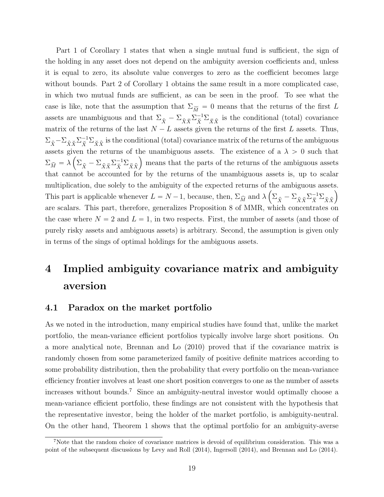Part 1 of Corollary 1 states that when a single mutual fund is sufficient, the sign of the holding in any asset does not depend on the ambiguity aversion coefficients and, unless it is equal to zero, its absolute value converges to zero as the coefficient becomes large without bounds. Part 2 of Corollary 1 obtains the same result in a more complicated case, in which two mutual funds are sufficient, as can be seen in the proof. To see what the case is like, note that the assumption that  $\Sigma_{\widetilde{M}} = 0$  means that the returns of the first *L* assets are unambiguous and that  $\Sigma_{\hat{X}} - \Sigma_{\hat{X}\check{X}}\Sigma_{\check{X}}^{-1}\Sigma_{\check{X}\hat{X}}$  is the conditional (total) covariance matrix of the returns of the last  $N - L$  assets given the returns of the first *L* assets. Thus,  $\Sigma_{\hat{X}} - \Sigma_{\hat{X}\check{X}} \Sigma_{\check{X}}^{-1} \Sigma_{\check{X}\hat{X}}$  is the conditional (total) covariance matrix of the returns of the ambiguous assets given the returns of the unambiguous assets. The existence of a  $\lambda > 0$  such that  $\Sigma_{\widehat{M}} = \lambda \left( \Sigma_{\widehat{X}} - \Sigma_{\widehat{X}} \widetilde{X} \Sigma_{\widehat{X}}^{-1} \Sigma_{\widehat{X} \widehat{X}} \right)$  means that the parts of the returns of the ambiguous assets that cannot be accounted for by the returns of the unambiguous assets is, up to scalar multiplication, due solely to the ambiguity of the expected returns of the ambiguous assets. This part is applicable whenever  $L = N - 1$ , because, then,  $\Sigma_{\widehat{M}}$  and  $\lambda \left( \Sigma_{\widehat{X}} - \Sigma_{\widehat{X}} \widetilde{X} \Sigma_{\widehat{X}}^{-1} \Sigma_{\widehat{X} \widehat{X}} \right)$ are scalars. This part, therefore, generalizes Proposition 8 of MMR, which concentrates on the case where  $N = 2$  and  $L = 1$ , in two respects. First, the number of assets (and those of purely risky assets and ambiguous assets) is arbitrary. Second, the assumption is given only in terms of the sings of optimal holdings for the ambiguous assets.

# **4 Implied ambiguity covariance matrix and ambiguity aversion**

#### **4.1 Paradox on the market portfolio**

As we noted in the introduction, many empirical studies have found that, unlike the market portfolio, the mean-variance efficient portfolios typically involve large short positions. On a more analytical note, Brennan and Lo (2010) proved that if the covariance matrix is randomly chosen from some parameterized family of positive definite matrices according to some probability distribution, then the probability that every portfolio on the mean-variance efficiency frontier involves at least one short position converges to one as the number of assets increases without bounds.<sup>7</sup> Since an ambiguity-neutral investor would optimally choose a mean-variance efficient portfolio, these findings are not consistent with the hypothesis that the representative investor, being the holder of the market portfolio, is ambiguity-neutral. On the other hand, Theorem 1 shows that the optimal portfolio for an ambiguity-averse

<sup>7</sup>Note that the random choice of covariance matrices is devoid of equilibrium consideration. This was a point of the subsequent discussions by Levy and Roll (2014), Ingersoll (2014), and Brennan and Lo (2014).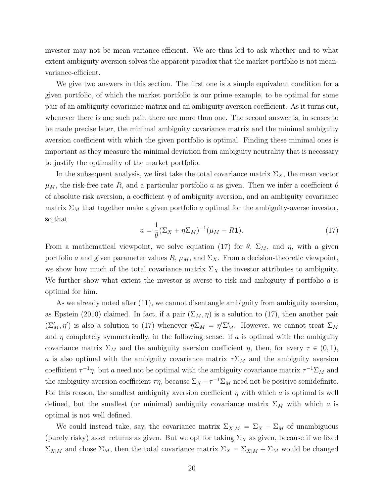investor may not be mean-variance-efficient. We are thus led to ask whether and to what extent ambiguity aversion solves the apparent paradox that the market portfolio is not meanvariance-efficient.

We give two answers in this section. The first one is a simple equivalent condition for a given portfolio, of which the market portfolio is our prime example, to be optimal for some pair of an ambiguity covariance matrix and an ambiguity aversion coefficient. As it turns out, whenever there is one such pair, there are more than one. The second answer is, in senses to be made precise later, the minimal ambiguity covariance matrix and the minimal ambiguity aversion coefficient with which the given portfolio is optimal. Finding these minimal ones is important as they measure the minimal deviation from ambiguity neutrality that is necessary to justify the optimality of the market portfolio.

In the subsequent analysis, we first take the total covariance matrix  $\Sigma_X$ , the mean vector  $\mu_M$ , the risk-free rate *R*, and a particular portfolio *a* as given. Then we infer a coefficient  $\theta$ of absolute risk aversion, a coefficient *η* of ambiguity aversion, and an ambiguity covariance matrix  $\Sigma_M$  that together make a given portfolio *a* optimal for the ambiguity-averse investor, so that

$$
a = \frac{1}{\theta} (\Sigma_X + \eta \Sigma_M)^{-1} (\mu_M - R\mathbf{1}).
$$
 (17)

From a mathematical viewpoint, we solve equation (17) for  $\theta$ ,  $\Sigma_M$ , and  $\eta$ , with a given portfolio *a* and given parameter values  $R$ ,  $\mu_M$ , and  $\Sigma_X$ . From a decision-theoretic viewpoint, we show how much of the total covariance matrix  $\Sigma_X$  the investor attributes to ambiguity. We further show what extent the investor is averse to risk and ambiguity if portfolio *a* is optimal for him.

As we already noted after (11), we cannot disentangle ambiguity from ambiguity aversion, as Epstein (2010) claimed. In fact, if a pair  $(\Sigma_M, \eta)$  is a solution to (17), then another pair  $(\Sigma'_M, \eta')$  is also a solution to (17) whenever  $\eta \Sigma_M = \eta' \Sigma'_M$ . However, we cannot treat  $\Sigma_M$ and  $\eta$  completely symmetrically, in the following sense: if  $\alpha$  is optimal with the ambiguity covariance matrix  $\Sigma_M$  and the ambiguity aversion coefficient *η*, then, for every  $\tau \in (0,1)$ , *a* is also optimal with the ambiguity covariance matrix  $\tau \Sigma_M$  and the ambiguity aversion coefficient  $\tau^{-1}\eta$ , but *a* need not be optimal with the ambiguity covariance matrix  $\tau^{-1}\Sigma_M$  and the ambiguity aversion coefficient  $\tau \eta$ , because  $\Sigma_X - \tau^{-1} \Sigma_M$  need not be positive semidefinite. For this reason, the smallest ambiguity aversion coefficient  $\eta$  with which  $\alpha$  is optimal is well defined, but the smallest (or minimal) ambiguity covariance matrix  $\Sigma_M$  with which *a* is optimal is not well defined.

We could instead take, say, the covariance matrix  $\Sigma_{X|M} = \Sigma_X - \Sigma_M$  of unambiguous (purely risky) asset returns as given. But we opt for taking  $\Sigma_X$  as given, because if we fixed  $\Sigma_{X|M}$  and chose  $\Sigma_M$ , then the total covariance matrix  $\Sigma_X = \Sigma_{X|M} + \Sigma_M$  would be changed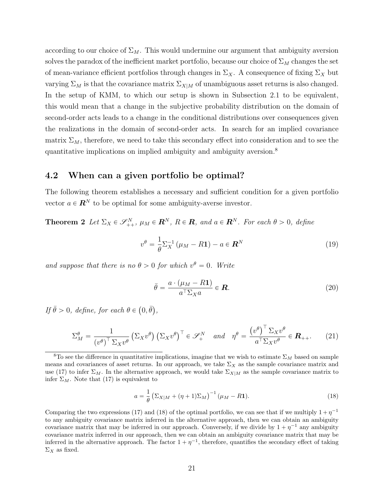according to our choice of  $\Sigma_M$ . This would undermine our argument that ambiguity aversion solves the paradox of the inefficient market portfolio, because our choice of  $\Sigma_M$  changes the set of mean-variance efficient portfolios through changes in  $\Sigma_X$ . A consequence of fixing  $\Sigma_X$  but varying  $\Sigma_M$  is that the covariance matrix  $\Sigma_{X|M}$  of unambiguous asset returns is also changed. In the setup of KMM, to which our setup is shown in Subsection 2.1 to be equivalent, this would mean that a change in the subjective probability distribution on the domain of second-order acts leads to a change in the conditional distributions over consequences given the realizations in the domain of second-order acts. In search for an implied covariance matrix  $\Sigma_M$ , therefore, we need to take this secondary effect into consideration and to see the quantitative implications on implied ambiguity and ambiguity aversion. $8$ 

#### **4.2 When can a given portfolio be optimal?**

The following theorem establishes a necessary and sufficient condition for a given portfolio vector  $a \in \mathbb{R}^N$  to be optimal for some ambiguity-averse investor.

**Theorem 2** *Let*  $\Sigma_X \in \mathscr{S}_{++}^N$ ,  $\mu_M \in \mathbb{R}^N$ ,  $R \in \mathbb{R}$ , and  $a \in \mathbb{R}^N$ . For each  $\theta > 0$ , define

$$
v^{\theta} = \frac{1}{\theta} \Sigma_X^{-1} (\mu_M - R\mathbf{1}) - a \in \mathbf{R}^N
$$
 (19)

*and suppose that there is no*  $\theta > 0$  *for which*  $v^{\theta} = 0$ *. Write* 

$$
\bar{\theta} = \frac{a \cdot (\mu_M - R\mathbf{1})}{a^\top \Sigma_X a} \in \mathbf{R}.
$$
\n(20)

*If*  $\bar{\theta} > 0$ *, define, for each*  $\theta \in (0, \bar{\theta})$ *,* 

$$
\Sigma_M^{\theta} = \frac{1}{\left(v^{\theta}\right)^{\top} \Sigma_X v^{\theta}} \left(\Sigma_X v^{\theta}\right) \left(\Sigma_X v^{\theta}\right)^{\top} \in \mathscr{S}_+^N \quad \text{and} \quad \eta^{\theta} = \frac{\left(v^{\theta}\right)^{\top} \Sigma_X v^{\theta}}{a^{\top} \Sigma_X v^{\theta}} \in \mathbf{R}_{++}.\tag{21}
$$

$$
a = \frac{1}{\theta} \left( \Sigma_{X|M} + (\eta + 1)\Sigma_M \right)^{-1} (\mu - R \mathbf{1}).
$$
 (18)

Comparing the two expressions (17) and (18) of the optimal portfolio, we can see that if we multiply  $1 + \eta^{-1}$ to any ambiguity covariance matrix inferred in the alternative approach, then we can obtain an ambiguity covariance matrix that may be inferred in our approach. Conversely, if we divide by  $1 + \eta^{-1}$  any ambiguity covariance matrix inferred in our approach, then we can obtain an ambiguity covariance matrix that may be inferred in the alternative approach. The factor  $1 + \eta^{-1}$ , therefore, quantifies the secondary effect of taking  $\Sigma_X$  as fixed.

<sup>&</sup>lt;sup>8</sup>To see the difference in quantitative implications, imagine that we wish to estimate  $\Sigma_M$  based on sample means and covariances of asset returns. In our approach, we take  $\Sigma_X$  as the sample covariance matrix and use (17) to infer  $\Sigma_M$ . In the alternative approach, we would take  $\Sigma_{X|M}$  as the sample covariance matrix to infer  $\Sigma_M$ . Note that (17) is equivalent to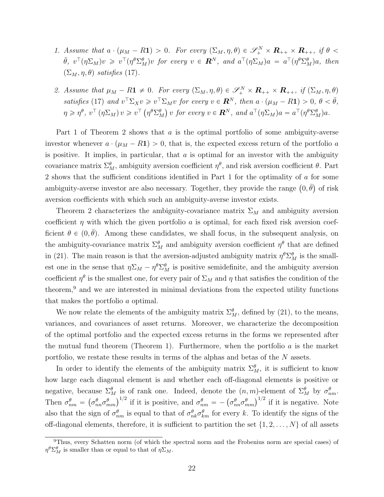- *1.* Assume that  $a \cdot (\mu_M R\mathbf{1}) > 0$ . For every  $(\Sigma_M, \eta, \theta) \in \mathscr{S}_+^N \times \mathbf{R}_{++} \times \mathbf{R}_{++}$ , if  $\theta <$  $\bar{\theta}$ ,  $v^{\top}(\eta \Sigma_M)v \geq v^{\top}(\eta^{\theta} \Sigma_M^{\theta})v$  for every  $v \in \mathbf{R}^N$ , and  $a^{\top}(\eta \Sigma_M)a = a^{\top}(\eta^{\theta} \Sigma_M^{\theta})a$ , then  $(\Sigma_M, \eta, \theta)$  *satisfies* (17)*.*
- *2. Assume that*  $\mu_M R\mathbf{1} \neq 0$ *. For every*  $(\Sigma_M, \eta, \theta) \in \mathscr{S}_+^N \times \mathbf{R}_{++} \times \mathbf{R}_{++}$ *, if*  $(\Sigma_M, \eta, \theta)$ satisfies (17) and  $v^{\top} \Sigma_X v \geq v^{\top} \Sigma_M v$  for every  $v \in \mathbb{R}^N$ , then  $a \cdot (\mu_M - R\mathbf{1}) > 0$ ,  $\theta < \bar{\theta}$ ,  $\eta \geqslant \eta^\theta,\ v^\top\left(\eta\Sigma_M\right)v\geqslant v^\top\left(\eta^\theta \Sigma_M^\theta\right)v\ for\ every\ v\in{\boldsymbol{R}}^N,\ and\ a^\top(\eta\Sigma_M)a=a^\top(\eta^\theta \Sigma_M^\theta)a.$

Part 1 of Theorem 2 shows that *a* is the optimal portfolio of some ambiguity-averse investor whenever  $a \cdot (\mu_M - R\mathbf{1}) > 0$ , that is, the expected excess return of the portfolio *a* is positive. It implies, in particular, that *a* is optimal for an investor with the ambiguity covariance matrix  $\Sigma_M^{\theta}$ , ambiguity aversion coefficient  $\eta^{\theta}$ , and risk aversion coefficient  $\theta$ . Part 2 shows that the sufficient conditions identified in Part 1 for the optimality of *a* for some ambiguity-averse investor are also necessary. Together, they provide the range  $(0, \bar{\theta})$  of risk aversion coefficients with which such an ambiguity-averse investor exists.

Theorem 2 characterizes the ambiguity-covariance matrix  $\Sigma_M$  and ambiguity aversion coefficient  $\eta$  with which the given portfolio *a* is optimal, for each fixed risk aversion coefficient  $\theta \in (0, \bar{\theta})$ . Among these candidates, we shall focus, in the subsequent analysis, on the ambiguity-covariance matrix  $\Sigma_M^{\theta}$  and ambiguity aversion coefficient  $\eta^{\theta}$  that are defined in (21). The main reason is that the aversion-adjusted ambiguity matrix  $\eta^{\theta} \Sigma_M^{\theta}$  is the smallest one in the sense that  $\eta \Sigma_M - \eta^\theta \Sigma_M^\theta$  is positive semidefinite, and the ambiguity aversion coefficient  $\eta^{\theta}$  is the smallest one, for every pair of  $\Sigma_M$  and  $\eta$  that satisfies the condition of the theorem,<sup>9</sup> and we are interested in minimal deviations from the expected utility functions that makes the portfolio *a* optimal.

We now relate the elements of the ambiguity matrix  $\Sigma_M^{\theta}$ , defined by (21), to the means, variances, and covariances of asset returns. Moreover, we characterize the decomposition of the optimal portfolio and the expected excess returns in the forms we represented after the mutual fund theorem (Theorem 1). Furthermore, when the portfolio *a* is the market portfolio, we restate these results in terms of the alphas and betas of the *N* assets.

In order to identify the elements of the ambiguity matrix  $\Sigma_M^{\theta}$ , it is sufficient to know how large each diagonal element is and whether each off-diagonal elements is positive or negative, because  $\Sigma_M^{\theta}$  is of rank one. Indeed, denote the  $(n, m)$ -element of  $\Sigma_M^{\theta}$  by  $\sigma_{nm}^{\theta}$ . Then  $\sigma_{nm}^{\theta} = (\sigma_{nn}^{\theta} \sigma_{mm}^{\theta})^{1/2}$  if it is positive, and  $\sigma_{nm}^{\theta} = -(\sigma_{nn}^{\theta} \sigma_{mm}^{\theta})^{1/2}$  if it is negative. Note also that the sign of  $\sigma_{nm}^{\theta}$  is equal to that of  $\sigma_{nk}^{\theta}\sigma_{km}^{\theta}$  for every *k*. To identify the signs of the off-diagonal elements, therefore, it is sufficient to partition the set  $\{1, 2, \ldots, N\}$  of all assets

<sup>9</sup>Thus, every Schatten norm (of which the spectral norm and the Frobenius norm are special cases) of *η*<sup> $θ$ </sup>Σ<sup>*θ*</sup>*M*</sub> is smaller than or equal to that of *η*Σ*M*.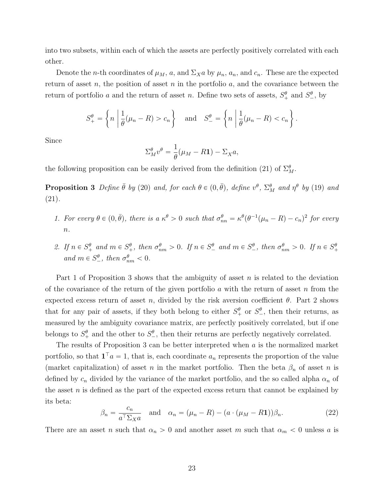into two subsets, within each of which the assets are perfectly positively correlated with each other.

Denote the *n*-th coordinates of  $\mu_M$ , *a*, and  $\Sigma_X a$  by  $\mu_n$ ,  $a_n$ , and  $c_n$ . These are the expected return of asset *n*, the position of asset *n* in the portfolio *a*, and the covariance between the return of portfolio *a* and the return of asset *n*. Define two sets of assets,  $S^{\theta}_{+}$  and  $S^{\theta}_{-}$ , by

$$
S_{+}^{\theta} = \left\{ n \mid \frac{1}{\theta}(\mu_{n} - R) > c_{n} \right\} \quad \text{and} \quad S_{-}^{\theta} = \left\{ n \mid \frac{1}{\theta}(\mu_{n} - R) < c_{n} \right\}.
$$

Since

$$
\Sigma_M^{\theta} v^{\theta} = \frac{1}{\theta} (\mu_M - R\mathbf{1}) - \Sigma_X a,
$$

the following proposition can be easily derived from the definition (21) of  $\Sigma_M^{\theta}$ .

**Proposition 3** Define  $\bar{\theta}$  by (20) and, for each  $\theta \in (0, \bar{\theta})$ , define  $v^{\theta}$ ,  $\Sigma_M^{\theta}$  and  $\eta^{\theta}$  by (19) and (21)*.*

- 1. For every  $\theta \in (0, \bar{\theta})$ , there is a  $\kappa^{\theta} > 0$  such that  $\sigma_{nn}^{\theta} = \kappa^{\theta} (\theta^{-1} (\mu_n R) c_n)^2$  for every *n.*
- 2. If  $n \in S_+^{\theta}$  and  $m \in S_+^{\theta}$ , then  $\sigma_{nm}^{\theta} > 0$ . If  $n \in S_-^{\theta}$  and  $m \in S_+^{\theta}$ , then  $\sigma_{nm}^{\theta} > 0$ . If  $n \in S_+^{\theta}$  $and m \in S^{\theta}_{-}$ , then  $\sigma^{\theta}_{nm} < 0$ .

Part 1 of Proposition 3 shows that the ambiguity of asset *n* is related to the deviation of the covariance of the return of the given portfolio *a* with the return of asset *n* from the expected excess return of asset *n*, divided by the risk aversion coefficient  $\theta$ . Part 2 shows that for any pair of assets, if they both belong to either  $S^{\theta}_{+}$  or  $S^{\theta}_{-}$ , then their returns, as measured by the ambiguity covariance matrix, are perfectly positively correlated, but if one belongs to  $S^{\theta}_{+}$  and the other to  $S^{\theta}_{-}$ , then their returns are perfectly negatively correlated.

The results of Proposition 3 can be better interpreted when *a* is the normalized market portfolio, so that  $\mathbf{1}^\top a = 1$ , that is, each coordinate  $a_n$  represents the proportion of the value (market capitalization) of asset *n* in the market portfolio. Then the beta  $\beta_n$  of asset *n* is defined by  $c_n$  divided by the variance of the market portfolio, and the so called alpha  $\alpha_n$  of the asset *n* is defined as the part of the expected excess return that cannot be explained by its beta:

$$
\beta_n = \frac{c_n}{a^{\top} \Sigma_X a} \quad \text{and} \quad \alpha_n = (\mu_n - R) - (a \cdot (\mu_M - R \mathbf{1})) \beta_n. \tag{22}
$$

There are an asset *n* such that  $\alpha_n > 0$  and another asset *m* such that  $\alpha_m < 0$  unless *a* is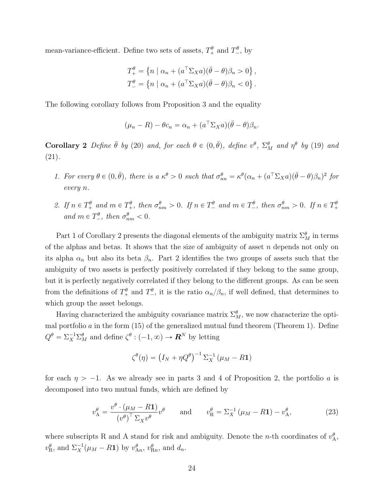mean-variance-efficient. Define two sets of assets,  $T_{+}^{\theta}$  and  $T_{-}^{\theta}$ , by

$$
T_+^{\theta} = \{ n \mid \alpha_n + (a^{\top} \Sigma_X a)(\bar{\theta} - \theta)\beta_n > 0 \},
$$
  

$$
T_-^{\theta} = \{ n \mid \alpha_n + (a^{\top} \Sigma_X a)(\bar{\theta} - \theta)\beta_n < 0 \}.
$$

The following corollary follows from Proposition 3 and the equality

$$
(\mu_n - R) - \theta c_n = \alpha_n + (a^{\top} \Sigma_X a)(\bar{\theta} - \theta) \beta_n.
$$

**Corollary 2** Define  $\bar{\theta}$  by (20) and, for each  $\theta \in (0, \bar{\theta})$ , define  $v^{\theta}$ ,  $\Sigma_M^{\theta}$  and  $\eta^{\theta}$  by (19) and (21)*.*

- 1. For every  $\theta \in (0, \bar{\theta})$ , there is a  $\kappa^{\theta} > 0$  such that  $\sigma_{nn}^{\theta} = \kappa^{\theta}(\alpha_n + (a^{\top} \Sigma_X a)(\bar{\theta} \theta)\beta_n)^2$  for *every n.*
- 2. If  $n \in T_+^{\theta}$  and  $m \in T_+^{\theta}$ , then  $\sigma_{nm}^{\theta} > 0$ . If  $n \in T_-^{\theta}$  and  $m \in T_-^{\theta}$ , then  $\sigma_{nm}^{\theta} > 0$ . If  $n \in T_+^{\theta}$ *and*  $m \in T^{\theta}_{-}$ *, then*  $\sigma^{\theta}_{nm} < 0$ *.*

Part 1 of Corollary 2 presents the diagonal elements of the ambiguity matrix  $\Sigma_M^{\theta}$  in terms of the alphas and betas. It shows that the size of ambiguity of asset *n* depends not only on its alpha  $\alpha_n$  but also its beta  $\beta_n$ . Part 2 identifies the two groups of assets such that the ambiguity of two assets is perfectly positively correlated if they belong to the same group, but it is perfectly negatively correlated if they belong to the different groups. As can be seen from the definitions of  $T^{\theta}_{+}$  and  $T^{\theta}_{-}$ , it is the ratio  $\alpha_n/\beta_n$ , if well defined, that determines to which group the asset belongs.

Having characterized the ambiguity covariance matrix  $\Sigma_M^{\theta}$ , we now characterize the optimal portfolio *a* in the form (15) of the generalized mutual fund theorem (Theorem 1). Define  $Q^{\theta} = \sum_{X}^{-1} \sum_{M}^{\theta}$  and define  $\zeta^{\theta} : (-1, \infty) \to \mathbb{R}^{N}$  by letting

$$
\zeta^{\theta}(\eta) = (I_N + \eta Q^{\theta})^{-1} \Sigma_X^{-1} (\mu_M - R\mathbf{1})
$$

for each  $\eta > -1$ . As we already see in parts 3 and 4 of Proposition 2, the portfolio *a* is decomposed into two mutual funds, which are defined by

$$
v_{\mathbf{A}}^{\theta} = \frac{v^{\theta} \cdot (\mu_M - R\mathbf{1})}{(v^{\theta})^{\top} \Sigma_X v^{\theta}} v^{\theta} \quad \text{and} \quad v_{\mathbf{R}}^{\theta} = \Sigma_X^{-1} (\mu_M - R\mathbf{1}) - v_{\mathbf{A}}^{\theta}, \tag{23}
$$

where subscripts R and A stand for risk and ambiguity. Denote the *n*-th coordinates of  $v_A^{\theta}$ ,  $v_{\rm R}^{\theta}$ , and  $\Sigma_X^{-1}(\mu_M - R\mathbf{1})$  by  $v_{\rm An}^{\theta}$ ,  $v_{\rm R}^{\theta}$ , and  $d_n$ .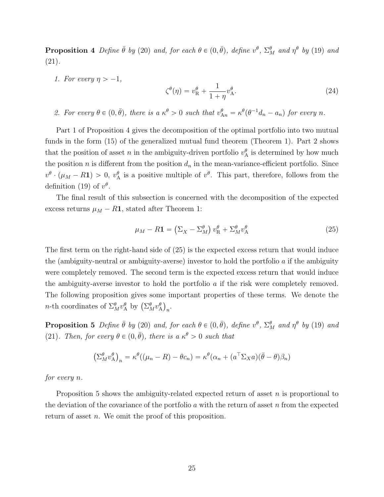**Proposition 4** Define  $\bar{\theta}$  by (20) and, for each  $\theta \in (0, \bar{\theta})$ , define  $v^{\theta}$ ,  $\Sigma_M^{\theta}$  and  $\eta^{\theta}$  by (19) and (21)*.*

*1. For every*  $\eta > -1$ ,

$$
\zeta^{\theta}(\eta) = v_{\mathcal{R}}^{\theta} + \frac{1}{1+\eta} v_{\mathcal{A}}^{\theta}.
$$
\n(24)

2. For every  $\theta \in (0, \bar{\theta})$ , there is  $a \kappa^{\theta} > 0$  such that  $v_{An}^{\theta} = \kappa^{\theta}(\theta^{-1}d_n - a_n)$  for every n.

Part 1 of Proposition 4 gives the decomposition of the optimal portfolio into two mutual funds in the form (15) of the generalized mutual fund theorem (Theorem 1). Part 2 shows that the position of asset *n* in the ambiguity-driven portfolio  $v_A^{\theta}$  is determined by how much the position  $n$  is different from the position  $d_n$  in the mean-variance-efficient portfolio. Since  $v^{\theta}$  ·  $(\mu_M - R\mathbf{1}) > 0$ ,  $v^{\theta}_A$  is a positive multiple of  $v^{\theta}$ . This part, therefore, follows from the definition (19) of  $v^{\theta}$ .

The final result of this subsection is concerned with the decomposition of the expected excess returns  $\mu_M - R$ **1**, stated after Theorem 1:

$$
\mu_M - R\mathbf{1} = \left(\Sigma_X - \Sigma_M^{\theta}\right)v_R^{\theta} + \Sigma_M^{\theta}v_A^{\theta} \tag{25}
$$

The first term on the right-hand side of (25) is the expected excess return that would induce the (ambiguity-neutral or ambiguity-averse) investor to hold the portfolio *a* if the ambiguity were completely removed. The second term is the expected excess return that would induce the ambiguity-averse investor to hold the portfolio *a* if the risk were completely removed. The following proposition gives some important properties of these terms. We denote the *n*-th coordinates of  $\Sigma_M^{\theta} v_A^{\theta}$  by  $(\Sigma_M^{\theta} v_A^{\theta})_n$ .

**Proposition 5** Define  $\bar{\theta}$  by (20) and, for each  $\theta \in (0, \bar{\theta})$ , define  $v^{\theta}$ ,  $\Sigma_M^{\theta}$  and  $\eta^{\theta}$  by (19) and (21)*. Then, for every*  $\theta \in (0, \bar{\theta})$ *, there is a*  $\kappa^{\theta} > 0$  *such that* 

$$
(\Sigma_M^{\theta} v_{\mathcal{A}}^{\theta})_n = \kappa^{\theta}((\mu_n - R) - \theta c_n) = \kappa^{\theta}(\alpha_n + (a^{\top} \Sigma_X a)(\bar{\theta} - \theta)\beta_n)
$$

*for every n.*

Proposition 5 shows the ambiguity-related expected return of asset *n* is proportional to the deviation of the covariance of the portfolio *a* with the return of asset *n* from the expected return of asset *n*. We omit the proof of this proposition.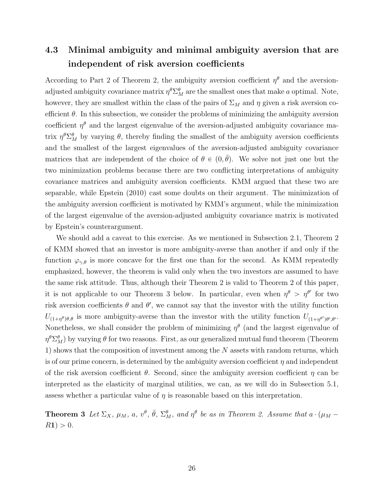# **4.3 Minimal ambiguity and minimal ambiguity aversion that are independent of risk aversion coefficients**

According to Part 2 of Theorem 2, the ambiguity aversion coefficient  $\eta^{\theta}$  and the aversionadjusted ambiguity covariance matrix  $\eta^{\theta} \Sigma_M^{\theta}$  are the smallest ones that make *a* optimal. Note, however, they are smallest within the class of the pairs of  $\Sigma_M$  and  $\eta$  given a risk aversion coefficient  $\theta$ . In this subsection, we consider the problems of minimizing the ambiguity aversion coefficient  $\eta^{\theta}$  and the largest eigenvalue of the aversion-adjusted ambiguity covariance matrix  $\eta^{\theta} \Sigma_M^{\theta}$  by varying  $\theta$ , thereby finding the smallest of the ambiguity aversion coefficients and the smallest of the largest eigenvalues of the aversion-adjusted ambiguity covariance matrices that are independent of the choice of  $\theta \in (0, \bar{\theta})$ . We solve not just one but the two minimization problems because there are two conflicting interpretations of ambiguity covariance matrices and ambiguity aversion coefficients. KMM argued that these two are separable, while Epstein (2010) cast some doubts on their argument. The minimization of the ambiguity aversion coefficient is motivated by KMM's argument, while the minimization of the largest eigenvalue of the aversion-adjusted ambiguity covariance matrix is motivated by Epstein's counterargument.

We should add a caveat to this exercise. As we mentioned in Subsection 2.1, Theorem 2 of KMM showed that an investor is more ambiguity-averse than another if and only if the function  $\varphi_{\gamma,\theta}$  is more concave for the first one than for the second. As KMM repeatedly emphasized, however, the theorem is valid only when the two investors are assumed to have the same risk attitude. Thus, although their Theorem 2 is valid to Theorem 2 of this paper, it is not applicable to our Theorem 3 below. In particular, even when  $\eta^{\theta} > \eta^{\theta'}$  for two risk aversion coefficients  $\theta$  and  $\theta'$ , we cannot say that the investor with the utility function  $U_{(1+\eta^{\theta})\theta,\theta}$  is more ambiguity-averse than the investor with the utility function  $U_{(1+\eta^{\theta})\theta',\theta'}$ . Nonetheless, we shall consider the problem of minimizing  $\eta^{\theta}$  (and the largest eigenvalue of  $\eta^{\theta} \Sigma_M^{\theta}$ ) by varying  $\theta$  for two reasons. First, as our generalized mutual fund theorem (Theorem 1) shows that the composition of investment among the *N* assets with random returns, which is of our prime concern, is determined by the ambiguity aversion coefficient *η* and independent of the risk aversion coefficient *θ*. Second, since the ambiguity aversion coefficient *η* can be interpreted as the elasticity of marginal utilities, we can, as we will do in Subsection 5.1, assess whether a particular value of *η* is reasonable based on this interpretation.

**Theorem 3** Let  $\Sigma_X$ ,  $\mu_M$ , a,  $v^{\theta}$ ,  $\bar{\theta}$ ,  $\Sigma_M^{\theta}$ , and  $\eta^{\theta}$  be as in Theorem 2. Assume that  $a \cdot (\mu_M R$ **1** $) > 0$ *.*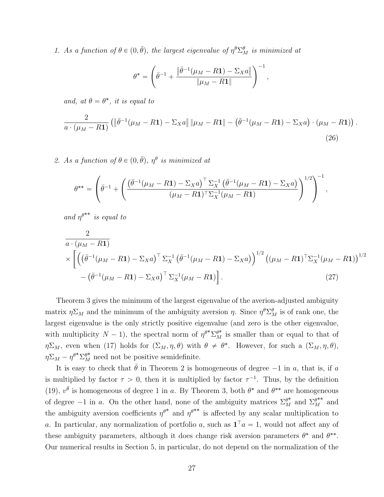*1.* As a function of  $\theta \in (0, \bar{\theta})$ , the largest eigenvalue of  $\eta^{\theta} \Sigma_M^{\theta}$  is minimized at

$$
\theta^* = \left( \bar{\theta}^{-1} + \frac{\left\| \bar{\theta}^{-1} (\mu_M - R\mathbf{1}) - \Sigma_X a \right\|}{\left\| \mu_M - R\mathbf{1} \right\|} \right)^{-1},
$$

*and, at*  $\theta = \theta^*$ *, it is equal to* 

$$
\frac{2}{a\cdot(\mu_M - R\mathbf{1})} \left( \left\| \bar{\theta}^{-1}(\mu_M - R\mathbf{1}) - \Sigma_X a \right\| \|\mu_M - R\mathbf{1}\| - \left( \bar{\theta}^{-1}(\mu_M - R\mathbf{1}) - \Sigma_X a \right) \cdot (\mu_M - R\mathbf{1}) \right).
$$
\n(26)

2. As a function of  $\theta \in (0, \bar{\theta})$ ,  $\eta^{\theta}$  is minimized at

$$
\theta^{**} = \left( \bar{\theta}^{-1} + \left( \frac{(\bar{\theta}^{-1}(\mu_M - R\mathbf{1}) - \Sigma_X a)^{\top} \Sigma_X^{-1} (\bar{\theta}^{-1}(\mu_M - R\mathbf{1}) - \Sigma_X a)}{(\mu_M - R\mathbf{1})^{\top} \Sigma_X^{-1}(\mu_M - R\mathbf{1})} \right)^{1/2} \right)^{-1},
$$

*and*  $\eta^{\theta^{**}}$  *is equal to* 

$$
\frac{2}{a \cdot (\mu_M - R\mathbf{1})} \times \left[ \left( \left( \bar{\theta}^{-1} (\mu_M - R\mathbf{1}) - \Sigma_X a \right)^\top \Sigma_X^{-1} \left( \bar{\theta}^{-1} (\mu_M - R\mathbf{1}) - \Sigma_X a \right) \right)^{1/2} \left( (\mu_M - R\mathbf{1})^\top \Sigma_X^{-1} (\mu_M - R\mathbf{1}) \right)^{1/2} - \left( \bar{\theta}^{-1} (\mu_M - R\mathbf{1}) - \Sigma_X a \right)^\top \Sigma_X^{-1} (\mu_M - R\mathbf{1}) \right].
$$
\n(27)

Theorem 3 gives the minimum of the largest eigenvalue of the averion-adjusted ambiguity matrix  $\eta \Sigma_M$  and the minimum of the ambiguity aversion  $\eta$ . Since  $\eta^{\theta} \Sigma_M^{\theta}$  is of rank one, the largest eigenvalue is the only strictly positive eigenvalue (and zero is the other eigenvalue, with multiplicity  $N-1$ ), the spectral norm of  $\eta^{\theta^*} \Sigma_M^{\theta^*}$  is smaller than or equal to that of *η* $\Sigma_M$ , even when (17) holds for  $(\Sigma_M, \eta, \theta)$  with  $\theta \neq \theta^*$ . However, for such a  $(\Sigma_M, \eta, \theta)$ ,  $\eta \Sigma_M - \eta^{\theta^*} \Sigma_M^{\theta^*}$  need not be positive semidefinite.

It is easy to check that  $\bar{\theta}$  in Theorem 2 is homogeneous of degree  $-1$  in *a*, that is, if *a* is multiplied by factor  $\tau > 0$ , then it is multiplied by factor  $\tau^{-1}$ . Thus, by the definition (19),  $v^{\bar{\theta}}$  is homogeneous of degree 1 in *a*. By Theorem 3, both  $\theta^*$  and  $\theta^{**}$  are homogeneous of degree  $-1$  in *a*. On the other hand, none of the ambiguity matrices  $\Sigma_M^{\theta^*}$  and  $\Sigma_M^{\theta^{**}}$  and the ambiguity aversion coefficients  $\eta^{\theta^*}$  and  $\eta^{\theta^{**}}$  is affected by any scalar multiplication to *a*. In particular, any normalization of portfolio *a*, such as  $\mathbf{1}^\top a = 1$ , would not affect any of these ambiguity parameters, although it does change risk aversion parameters  $\theta^*$  and  $\theta^{**}$ . Our numerical results in Section 5, in particular, do not depend on the normalization of the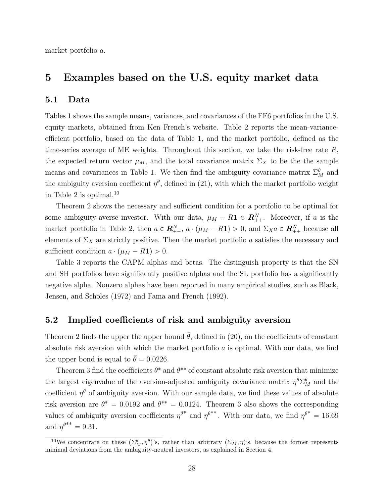market portfolio *a*.

### **5 Examples based on the U.S. equity market data**

#### **5.1 Data**

Tables 1 shows the sample means, variances, and covariances of the FF6 portfolios in the U.S. equity markets, obtained from Ken French's website. Table 2 reports the mean-varianceefficient portfolio, based on the data of Table 1, and the market portfolio, defined as the time-series average of ME weights. Throughout this section, we take the risk-free rate *R*, the expected return vector  $\mu_M$ , and the total covariance matrix  $\Sigma_X$  to be the the sample means and covariances in Table 1. We then find the ambiguity covariance matrix  $\Sigma_M^{\theta}$  and the ambiguity aversion coefficient  $\eta^{\theta}$ , defined in (21), with which the market portfolio weight in Table 2 is optimal.<sup>10</sup>

Theorem 2 shows the necessary and sufficient condition for a portfolio to be optimal for some ambiguity-averse investor. With our data,  $\mu_M - R\mathbf{1} \in \mathbb{R}_{++}^N$ . Moreover, if *a* is the market portfolio in Table 2, then  $a \in \mathbb{R}_{++}^N$ ,  $a \cdot (\mu_M - R\mathbf{1}) > 0$ , and  $\Sigma_X a \in \mathbb{R}_{++}^N$  because all elements of  $\Sigma_X$  are strictly positive. Then the market portfolio *a* satisfies the necessary and sufficient condition  $a \cdot (\mu_M - R\mathbf{1}) > 0$ .

Table 3 reports the CAPM alphas and betas. The distinguish property is that the SN and SH portfolios have significantly positive alphas and the SL portfolio has a significantly negative alpha. Nonzero alphas have been reported in many empirical studies, such as Black, Jensen, and Scholes (1972) and Fama and French (1992).

#### **5.2 Implied coefficients of risk and ambiguity aversion**

Theorem 2 finds the upper the upper bound  $\bar{\theta}$ , defined in (20), on the coefficients of constant absolute risk aversion with which the market portfolio *a* is optimal. With our data, we find the upper bond is equal to  $\bar{\theta} = 0.0226$ .

Theorem 3 find the coefficients  $\theta^*$  and  $\theta^{**}$  of constant absolute risk aversion that minimize the largest eigenvalue of the aversion-adjusted ambiguity covariance matrix  $\eta^{\theta} \Sigma_M^{\theta}$  and the coefficient  $\eta^{\theta}$  of ambiguity aversion. With our sample data, we find these values of absolute risk aversion are  $\theta^* = 0.0192$  and  $\theta^{**} = 0.0124$ . Theorem 3 also shows the corresponding values of ambiguity aversion coefficients  $\eta^{\theta^*}$  and  $\eta^{\theta^{**}}$ . With our data, we find  $\eta^{\theta^*} = 16.69$ and  $\eta^{\theta^{**}} = 9.31$ .

<sup>&</sup>lt;sup>10</sup>We concentrate on these  $(\Sigma_M^{\theta}, \eta^{\theta})$ 's, rather than arbitrary  $(\Sigma_M, \eta)$ 's, because the former represents minimal deviations from the ambiguity-neutral investors, as explained in Section 4.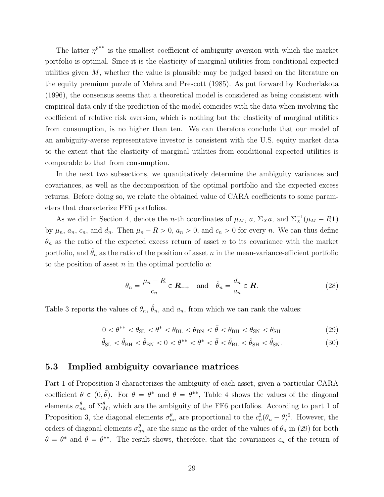The latter  $\eta^{\theta^{**}}$  is the smallest coefficient of ambiguity aversion with which the market portfolio is optimal. Since it is the elasticity of marginal utilities from conditional expected utilities given *M*, whether the value is plausible may be judged based on the literature on the equity premium puzzle of Mehra and Prescott (1985). As put forward by Kocherlakota (1996), the consensus seems that a theoretical model is considered as being consistent with empirical data only if the prediction of the model coincides with the data when involving the coefficient of relative risk aversion, which is nothing but the elasticity of marginal utilities from consumption, is no higher than ten. We can therefore conclude that our model of an ambiguity-averse representative investor is consistent with the U.S. equity market data to the extent that the elasticity of marginal utilities from conditional expected utilities is comparable to that from consumption.

In the next two subsections, we quantitatively determine the ambiguity variances and covariances, as well as the decomposition of the optimal portfolio and the expected excess returns. Before doing so, we relate the obtained value of CARA coefficients to some parameters that characterize FF6 portfolios.

As we did in Section 4, denote the *n*-th coordinates of  $\mu_M$ , *a*,  $\Sigma_X a$ , and  $\Sigma_X^{-1}(\mu_M - R\mathbf{1})$ by  $\mu_n$ ,  $a_n$ ,  $c_n$ , and  $d_n$ . Then  $\mu_n - R > 0$ ,  $a_n > 0$ , and  $c_n > 0$  for every *n*. We can thus define  $\theta_n$  as the ratio of the expected excess return of asset *n* to its covariance with the market portfolio, and  $\hat{\theta}_n$  as the ratio of the position of asset *n* in the mean-variance-efficient portfolio to the position of asset *n* in the optimal portfolio *a*:

$$
\theta_n = \frac{\mu_n - R}{c_n} \in \mathbf{R}_{++} \quad \text{and} \quad \hat{\theta}_n = \frac{d_n}{a_n} \in \mathbf{R}.\tag{28}
$$

Table 3 reports the values of  $\theta_n$ ,  $\hat{\theta}_n$ , and  $a_n$ , from which we can rank the values:

$$
0 < \theta^{**} < \theta_{SL} < \theta^* < \theta_{BL} < \theta_{BN} < \bar{\theta} < \theta_{BH} < \theta_{SN} < \theta_{SH}
$$
\n(29)

$$
\hat{\theta}_{\mathrm{SL}} < \hat{\theta}_{\mathrm{BH}} < \hat{\theta}_{\mathrm{BN}} < 0 < \theta^{**} < \theta^* < \bar{\theta} < \hat{\theta}_{\mathrm{BL}} < \hat{\theta}_{\mathrm{SH}} < \hat{\theta}_{\mathrm{SN}}.\tag{30}
$$

#### **5.3 Implied ambiguity covariance matrices**

Part 1 of Proposition 3 characterizes the ambiguity of each asset, given a particular CARA coefficient  $\theta \in (0, \bar{\theta})$ . For  $\theta = \theta^*$  and  $\theta = \theta^{**}$ , Table 4 shows the values of the diagonal elements  $\sigma_{nn}^{\theta}$  of  $\Sigma_M^{\theta}$ , which are the ambiguity of the FF6 portfolios. According to part 1 of Proposition 3, the diagonal elements  $\sigma_{nn}^{\theta}$  are proportional to the  $c_n^2(\theta_n - \theta)^2$ . However, the orders of diagonal elements  $\sigma_{nn}^{\theta}$  are the same as the order of the values of  $\theta_n$  in (29) for both  $\theta = \theta^*$  and  $\theta = \theta^{**}$ . The result shows, therefore, that the covariances  $c_n$  of the return of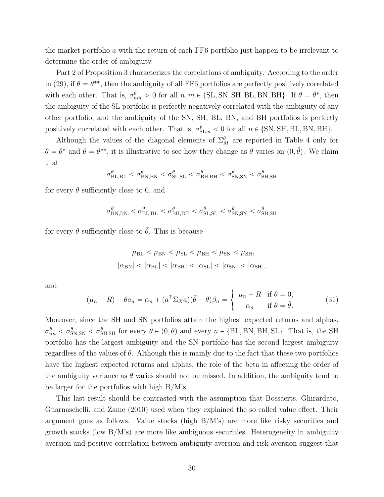the market portfolio *a* with the return of each FF6 portfolio just happen to be irrelevant to determine the order of ambiguity.

Part 2 of Proposition 3 characterizes the correlations of ambiguity. According to the order in (29), if  $\theta = \theta^{**}$ , then the ambiguity of all FF6 portfolios are perfectly positively correlated with each other. That is,  $\sigma_{nm}^{\theta} > 0$  for all  $n, m \in \{SL, SN, SH, BL, BN, BH\}$ . If  $\theta = \theta^*$ , then the ambiguity of the SL portfolio is perfectly negatively correlated with the ambiguity of any other portfolio, and the ambiguity of the SN, SH, BL, BN, and BH portfolios is perfectly positively correlated with each other. That is,  $\sigma_{\text{SL},n}^{\theta} < 0$  for all  $n \in \{\text{SN}, \text{SH}, \text{BL}, \text{BN}, \text{BH}\}.$ 

Although the values of the diagonal elements of  $\Sigma_M^{\theta}$  are reported in Table 4 only for  $\theta = \theta^*$  and  $\theta = \theta^{**}$ , it is illustrative to see how they change as  $\theta$  varies on  $(0, \bar{\theta})$ . We claim that

$$
\sigma_{\text{BL,BL}}^{\theta} < \sigma_{\text{BN,BN}}^{\theta} < \sigma_{\text{SL,SL}}^{\theta} < \sigma_{\text{BH,BH}}^{\theta} < \sigma_{\text{SN,SN}}^{\theta} < \sigma_{\text{SH,SH}}^{\theta}
$$

for every  $\theta$  sufficiently close to 0, and

$$
\sigma_{\text{BN,BN}}^{\theta} < \sigma_{\text{BL,BL}}^{\theta} < \sigma_{\text{BH,BH}}^{\theta} < \sigma_{\text{SL,SL}}^{\theta} < \sigma_{\text{SN,SN}}^{\theta} < \sigma_{\text{SH,SH}}^{\theta}
$$

for every  $\theta$  sufficiently close to  $\bar{\theta}$ . This is because

$$
\mu_{\rm BL} < \mu_{\rm BN} < \mu_{\rm SL} < \mu_{\rm BH} < \mu_{\rm SM} < \mu_{\rm SH},
$$
\n
$$
|\alpha_{\rm BN}| < |\alpha_{\rm BL}| < |\alpha_{\rm SH}| < |\alpha_{\rm SM}| < |\alpha_{\rm SM}| < |\alpha_{\rm SH}|,
$$

and

$$
(\mu_n - R) - \theta a_n = \alpha_n + (a^{\top} \Sigma_X a)(\bar{\theta} - \theta)\beta_n = \begin{cases} \mu_n - R & \text{if } \theta = 0, \\ \alpha_n & \text{if } \theta = \bar{\theta}. \end{cases}
$$
 (31)

Moreover, since the SH and SN portfolios attain the highest expected returns and alphas,  $\sigma_{nn}^{\theta} < \sigma_{SN,SN}^{\theta} < \sigma_{SH,SH}^{\theta}$  for every  $\theta \in (0, \bar{\theta})$  and every  $n \in \{BL, BN, BH, SL\}$ . That is, the SH portfolio has the largest ambiguity and the SN portfolio has the second largest ambiguity regardless of the values of *θ*. Although this is mainly due to the fact that these two portfolios have the highest expected returns and alphas, the role of the beta in affecting the order of the ambiguity variance as  $\theta$  varies should not be missed. In addition, the ambiguity tend to be larger for the portfolios with high B/M's.

This last result should be contrasted with the assumption that Bossaerts, Ghirardato, Guarnaschelli, and Zame (2010) used when they explained the so called value effect. Their argument goes as follows. Value stocks (high  $B/M$ 's) are more like risky securities and growth stocks (low  $B/M$ 's) are more like ambiguous securities. Heterogeneity in ambiguity aversion and positive correlation between ambiguity aversion and risk aversion suggest that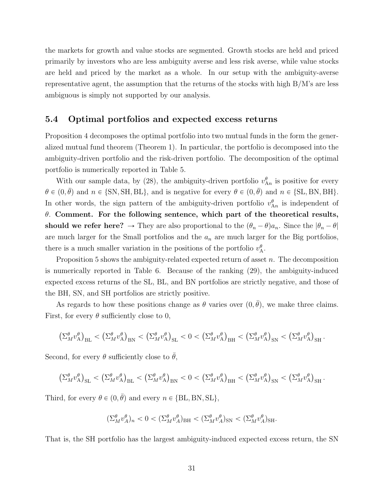the markets for growth and value stocks are segmented. Growth stocks are held and priced primarily by investors who are less ambiguity averse and less risk averse, while value stocks are held and priced by the market as a whole. In our setup with the ambiguity-averse representative agent, the assumption that the returns of the stocks with high B/M's are less ambiguous is simply not supported by our analysis.

#### **5.4 Optimal portfolios and expected excess returns**

Proposition 4 decomposes the optimal portfolio into two mutual funds in the form the generalized mutual fund theorem (Theorem 1). In particular, the portfolio is decomposed into the ambiguity-driven portfolio and the risk-driven portfolio. The decomposition of the optimal portfolio is numerically reported in Table 5.

With our sample data, by (28), the ambiguity-driven portfolio  $v_{\text{A}n}^{\theta}$  is positive for every  $\theta \in (0, \bar{\theta})$  and  $n \in \{SN, SH, BL\}$ , and is negative for every  $\theta \in (0, \bar{\theta})$  and  $n \in \{SL, BN, BH\}$ . In other words, the sign pattern of the ambiguity-driven portfolio  $v_{An}^{\theta}$  is independent of *θ*. **Comment. For the following sentence, which part of the theoretical results, should we refer here?**  $\rightarrow$  They are also proportional to the  $(\theta_n - \theta)a_n$ . Since the  $|\theta_n - \theta|$ are much larger for the Small portfolios and the *a<sup>n</sup>* are much larger for the Big portfolios, there is a much smaller variation in the positions of the portfolio  $v_A^{\theta}$ .

Proposition 5 shows the ambiguity-related expected return of asset *n*. The decomposition is numerically reported in Table 6. Because of the ranking (29), the ambiguity-induced expected excess returns of the SL, BL, and BN portfolios are strictly negative, and those of the BH, SN, and SH portfolios are strictly positive.

As regards to how these positions change as  $\theta$  varies over  $(0, \bar{\theta})$ , we make three claims. First, for every  $\theta$  sufficiently close to 0,

$$
\left(\Sigma_{M}^{\theta}v_{\mathcal{A}}^{\theta}\right)_{\mathrm{BL}} \, < \, \left(\Sigma_{M}^{\theta}v_{\mathcal{A}}^{\theta}\right)_{\mathrm{BN}} \, < \, \left(\Sigma_{M}^{\theta}v_{\mathcal{A}}^{\theta}\right)_{\mathrm{SL}} \, < \, 0 \, < \, \left(\Sigma_{M}^{\theta}v_{\mathcal{A}}^{\theta}\right)_{\mathrm{BH}} \, < \, \left(\Sigma_{M}^{\theta}v_{\mathcal{A}}^{\theta}\right)_{\mathrm{SN}} \, < \, \left(\Sigma_{M}^{\theta}v_{\mathcal{A}}^{\theta}\right)_{\mathrm{SH}} \, .
$$

Second, for every  $\theta$  sufficiently close to  $\bar{\theta}$ ,

$$
\left(\Sigma_M^{\theta} v_{\mathcal{A}}^{\theta}\right)_{\text{SL}} < \left(\Sigma_M^{\theta} v_{\mathcal{A}}^{\theta}\right)_{\text{BL}} < \left(\Sigma_M^{\theta} v_{\mathcal{A}}^{\theta}\right)_{\text{BN}} < 0 < \left(\Sigma_M^{\theta} v_{\mathcal{A}}^{\theta}\right)_{\text{BH}} < \left(\Sigma_M^{\theta} v_{\mathcal{A}}^{\theta}\right)_{\text{SN}} < \left(\Sigma_M^{\theta} v_{\mathcal{A}}^{\theta}\right)_{\text{SH}}.
$$

Third, for every  $\theta \in (0, \bar{\theta})$  and every  $n \in \{BL, BN, SL\}$ ,

$$
(\Sigma_M^{\theta} v_A^{\theta})_n < 0 < (\Sigma_M^{\theta} v_A^{\theta})_{\text{BH}} < (\Sigma_M^{\theta} v_A^{\theta})_{\text{SN}} < (\Sigma_M^{\theta} v_A^{\theta})_{\text{SH}}.
$$

That is, the SH portfolio has the largest ambiguity-induced expected excess return, the SN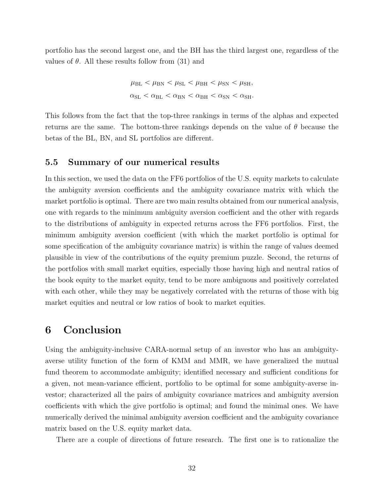portfolio has the second largest one, and the BH has the third largest one, regardless of the values of  $\theta$ . All these results follow from (31) and

$$
\mu_{\rm BL} < \mu_{\rm BN} < \mu_{\rm SL} < \mu_{\rm BH} < \mu_{\rm SN} < \mu_{\rm SH},
$$
  

$$
\alpha_{\rm SL} < \alpha_{\rm BL} < \alpha_{\rm BN} < \alpha_{\rm BH} < \alpha_{\rm SN} < \alpha_{\rm SH}.
$$

This follows from the fact that the top-three rankings in terms of the alphas and expected returns are the same. The bottom-three rankings depends on the value of *θ* because the betas of the BL, BN, and SL portfolios are different.

#### **5.5 Summary of our numerical results**

In this section, we used the data on the FF6 portfolios of the U.S. equity markets to calculate the ambiguity aversion coefficients and the ambiguity covariance matrix with which the market portfolio is optimal. There are two main results obtained from our numerical analysis, one with regards to the minimum ambiguity aversion coefficient and the other with regards to the distributions of ambiguity in expected returns across the FF6 portfolios. First, the minimum ambiguity aversion coefficient (with which the market portfolio is optimal for some specification of the ambiguity covariance matrix) is within the range of values deemed plausible in view of the contributions of the equity premium puzzle. Second, the returns of the portfolios with small market equities, especially those having high and neutral ratios of the book equity to the market equity, tend to be more ambiguous and positively correlated with each other, while they may be negatively correlated with the returns of those with big market equities and neutral or low ratios of book to market equities.

### **6 Conclusion**

Using the ambiguity-inclusive CARA-normal setup of an investor who has an ambiguityaverse utility function of the form of KMM and MMR, we have generalized the mutual fund theorem to accommodate ambiguity; identified necessary and sufficient conditions for a given, not mean-variance efficient, portfolio to be optimal for some ambiguity-averse investor; characterized all the pairs of ambiguity covariance matrices and ambiguity aversion coefficients with which the give portfolio is optimal; and found the minimal ones. We have numerically derived the minimal ambiguity aversion coefficient and the ambiguity covariance matrix based on the U.S. equity market data.

There are a couple of directions of future research. The first one is to rationalize the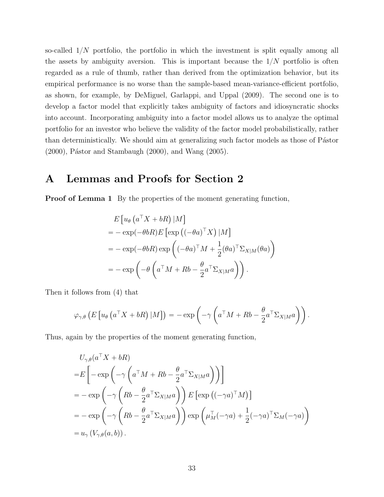so-called 1{*N* portfolio, the portfolio in which the investment is split equally among all the assets by ambiguity aversion. This is important because the  $1/N$  portfolio is often regarded as a rule of thumb, rather than derived from the optimization behavior, but its empirical performance is no worse than the sample-based mean-variance-efficient portfolio, as shown, for example, by DeMiguel, Garlappi, and Uppal (2009). The second one is to develop a factor model that explicitly takes ambiguity of factors and idiosyncratic shocks into account. Incorporating ambiguity into a factor model allows us to analyze the optimal portfolio for an investor who believe the validity of the factor model probabilistically, rather than deterministically. We should aim at generalizing such factor models as those of Pástor  $(2000)$ , Pástor and Stambaugh  $(2000)$ , and Wang  $(2005)$ .

## **A Lemmas and Proofs for Section 2**

**Proof of Lemma 1** By the properties of the moment generating function,

$$
E[u_{\theta} (a^{\top} X + bR) |M]
$$
  
=  $-\exp(-\theta bR)E[\exp((- \theta a)^{\top} X) |M]$   
=  $-\exp(-\theta bR) \exp((- \theta a)^{\top} M + \frac{1}{2} (\theta a)^{\top} \Sigma_{X|M} (\theta a))$   
=  $-\exp(-\theta \left(a^{\top} M + Rb - \frac{\theta}{2} a^{\top} \Sigma_{X|M} a\right)).$ 

Then it follows from (4) that

$$
\varphi_{\gamma,\theta}\left(E\left[u_{\theta}\left(a^{\top}X+bR\right)|M\right]\right)=-\exp\left(-\gamma\left(a^{\top}M+Rb-\frac{\theta}{2}a^{\top}\Sigma_{X|M}a\right)\right).
$$

Thus, again by the properties of the moment generating function,

$$
U_{\gamma,\theta}(a^{\top}X + bR)
$$
  
=  $E\left[-\exp\left(-\gamma\left(a^{\top}M + Rb - \frac{\theta}{2}a^{\top}\Sigma_{X|M}a\right)\right)\right]$   
=  $-\exp\left(-\gamma\left(Rb - \frac{\theta}{2}a^{\top}\Sigma_{X|M}a\right)\right)E\left[\exp\left((-\gamma a)^{\top}M\right)\right]$   
=  $-\exp\left(-\gamma\left(Rb - \frac{\theta}{2}a^{\top}\Sigma_{X|M}a\right)\right)\exp\left(\mu_M^{\top}(-\gamma a) + \frac{1}{2}(-\gamma a)^{\top}\Sigma_M(-\gamma a)\right)$   
=  $u_{\gamma}\left(V_{\gamma,\theta}(a,b)\right).$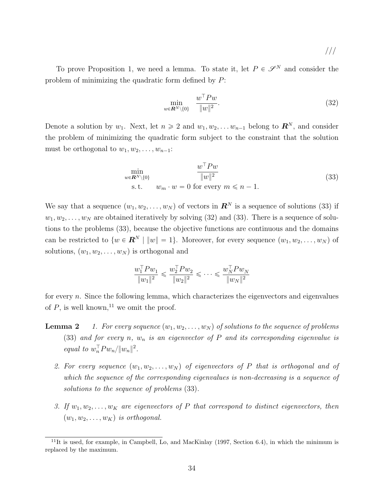///

To prove Proposition 1, we need a lemma. To state it, let  $P \in \mathscr{S}^N$  and consider the problem of minimizing the quadratic form defined by *P*:

$$
\min_{w \in \mathbf{R}^N \setminus \{0\}} \quad \frac{w^\top P w}{\|w\|^2}.\tag{32}
$$

Denote a solution by  $w_1$ . Next, let  $n \geq 2$  and  $w_1, w_2, \ldots w_{n-1}$  belong to  $\mathbb{R}^N$ , and consider the problem of minimizing the quadratic form subject to the constraint that the solution must be orthogonal to  $w_1, w_2, \ldots, w_{n-1}$ :

$$
\min_{w \in \mathbb{R}^N \setminus \{0\}} \frac{w^\top P w}{\|w\|^2}
$$
\n
$$
\text{s.t.} \quad w_m \cdot w = 0 \text{ for every } m \leq n - 1.
$$
\n
$$
(33)
$$

We say that a sequence  $(w_1, w_2, \ldots, w_N)$  of vectors in  $\mathbb{R}^N$  is a sequence of solutions (33) if  $w_1, w_2, \ldots, w_N$  are obtained iteratively by solving (32) and (33). There is a sequence of solutions to the problems (33), because the objective functions are continuous and the domains can be restricted to  $\{w \in \mathbb{R}^N \mid ||w|| = 1\}$ . Moreover, for every sequence  $(w_1, w_2, \ldots, w_N)$  of solutions,  $(w_1, w_2, \ldots, w_N)$  is orthogonal and

$$
\frac{w_1^\top P w_1}{\|w_1\|^2} \leqslant \frac{w_2^\top P w_2}{\|w_2\|^2} \leqslant \cdots \leqslant \frac{w_N^\top P w_N}{\|w_N\|^2}
$$

for every *n*. Since the following lemma, which characterizes the eigenvectors and eigenvalues of  $P$ , is well known,<sup>11</sup> we omit the proof.

- **Lemma 2** *1. For every sequence*  $(w_1, w_2, \ldots, w_N)$  of solutions to the sequence of problems (33) *and for every n, w<sup>n</sup> is an eigenvector of P and its corresponding eigenvalue is equal to*  $w_n^T P w_n / ||w_n||^2$ .
	- 2. For every sequence  $(w_1, w_2, \ldots, w_N)$  of eigenvectors of P that is orthogonal and of *which the sequence of the corresponding eigenvalues is non-decreasing is a sequence of solutions to the sequence of problems* (33)*.*
	- *3.* If  $w_1, w_2, \ldots, w_K$  are eigenvectors of P that correspond to distinct eigenvectors, then  $(w_1, w_2, \ldots, w_K)$  *is orthogonal.*

 $11$ It is used, for example, in Campbell, Lo, and MacKinlay (1997, Section 6.4), in which the minimum is replaced by the maximum.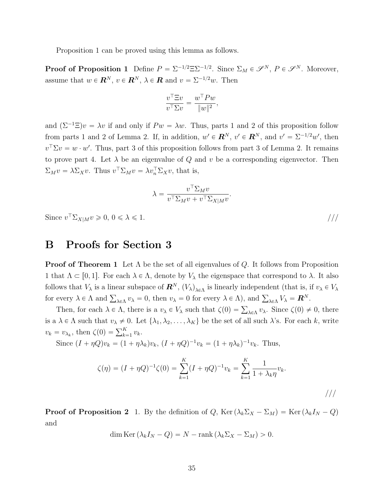Proposition 1 can be proved using this lemma as follows.

**Proof of Proposition 1** Define  $P = \sum_{i=1}^{n} \sum_{i=1}^{n} 2^{i}$ . Since  $\Sigma_M \in \mathscr{S}^N$ ,  $P \in \mathscr{S}^N$ . Moreover, assume that  $w \in \mathbb{R}^N$ ,  $v \in \mathbb{R}^N$ ,  $\lambda \in \mathbb{R}$  and  $v = \Sigma^{-1/2}w$ . Then

$$
\frac{v^\top \Xi v}{v^\top \Sigma v} = \frac{w^\top P w}{\|w\|^2},
$$

and  $(\Sigma^{-1}\Xi)v = \lambda v$  if and only if  $Pw = \lambda w$ . Thus, parts 1 and 2 of this proposition follow from parts 1 and 2 of Lemma 2. If, in addition,  $w' \in \mathbb{R}^N$ ,  $v' \in \mathbb{R}^N$ , and  $v' = \sum_{i=1}^{N} w'$ , then  $v^{\top} \Sigma v = w \cdot w'$ . Thus, part 3 of this proposition follows from part 3 of Lemma 2. It remains to prove part 4. Let  $\lambda$  be an eigenvalue of  $Q$  and  $v$  be a corresponding eigenvector. Then  $\Sigma_M v = \lambda \Sigma_X v$ . Thus  $v^\top \Sigma_M v = \lambda v_n^\top \Sigma_X v$ , that is,

$$
\lambda = \frac{v^\top \Sigma_M v}{v^\top \Sigma_M v + v^\top \Sigma_{X|M} v}
$$

*.*

Since  $v^{\top} \Sigma_{X|M} v \ge 0, 0 \le \lambda \le 1.$  ///

### **B Proofs for Section 3**

**Proof of Theorem 1** Let Λ be the set of all eigenvalues of *Q*. It follows from Proposition 1 that  $\Lambda \subset [0,1]$ . For each  $\lambda \in \Lambda$ , denote by  $V_{\lambda}$  the eigenspace that correspond to  $\lambda$ . It also follows that  $V_{\lambda}$  is a linear subspace of  $\mathbb{R}^{N}$ ,  $(V_{\lambda})_{\lambda \in \Lambda}$  is linearly independent (that is, if  $v_{\lambda} \in V_{\lambda}$ for every  $\lambda \in \Lambda$  and  $\sum_{\lambda \in \Lambda} v_{\lambda} = 0$ , then  $v_{\lambda} = 0$  for every  $\lambda \in \Lambda$ ), and  $\sum_{\lambda \in \Lambda} V_{\lambda} = \mathbf{R}^{N}$ .

Then, for each  $\lambda \in \Lambda$ , there is a  $v_{\lambda} \in V_{\lambda}$  such that  $\zeta(0) = \sum_{\lambda \in \Lambda} v_{\lambda}$ . Since  $\zeta(0) \neq 0$ , there is a  $\lambda \in \Lambda$  such that  $v_{\lambda} \neq 0$ . Let  $\{\lambda_1, \lambda_2, \ldots, \lambda_K\}$  be the set of all such  $\lambda$ 's. For each *k*, write  $v_k = v_{\lambda_k}$ , then  $\zeta(0) = \sum_{k=1}^K v_k$ .

Since  $(I + \eta Q)v_k = (1 + \eta \lambda_k)v_k$ ,  $(I + \eta Q)^{-1}v_k = (1 + \eta \lambda_k)^{-1}v_k$ . Thus,

$$
\zeta(\eta) = (I + \eta Q)^{-1} \zeta(0) = \sum_{k=1}^{K} (I + \eta Q)^{-1} v_k = \sum_{k=1}^{K} \frac{1}{1 + \lambda_k \eta} v_k.
$$

**Proof of Proposition 2** 1. By the definition of *Q*, Ker $(\lambda_k \Sigma_X - \Sigma_M) = \text{Ker}(\lambda_k I_N - Q)$ and

$$
\dim \text{Ker}\left(\lambda_k I_N - Q\right) = N - \text{rank}\left(\lambda_k \Sigma_X - \Sigma_M\right) > 0.
$$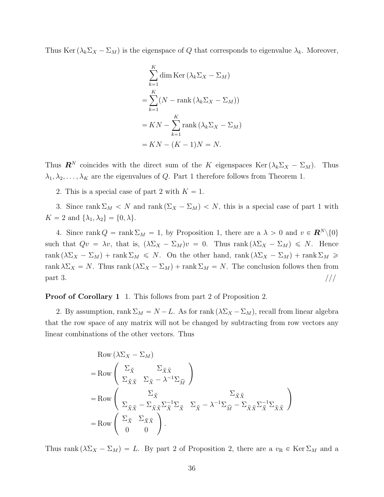Thus Ker  $(\lambda_k \Sigma_X - \Sigma_M)$  is the eigenspace of *Q* that corresponds to eigenvalue  $\lambda_k$ . Moreover,

$$
\sum_{k=1}^{K} \dim \operatorname{Ker} \left(\lambda_k \Sigma_X - \Sigma_M\right)
$$

$$
= \sum_{k=1}^{K} \left(N - \operatorname{rank}\left(\lambda_k \Sigma_X - \Sigma_M\right)\right)
$$

$$
= KN - \sum_{k=1}^{K} \operatorname{rank}\left(\lambda_k \Sigma_X - \Sigma_M\right)
$$

$$
= KN - (K - 1)N = N.
$$

Thus  $\mathbf{R}^N$  coincides with the direct sum of the *K* eigenspaces Ker( $\lambda_k \Sigma_X - \Sigma_M$ ). Thus  $\lambda_1, \lambda_2, \ldots, \lambda_K$  are the eigenvalues of *Q*. Part 1 therefore follows from Theorem 1.

2. This is a special case of part 2 with  $K = 1$ .

3. Since rank  $\Sigma_M < N$  and rank  $(\Sigma_X - \Sigma_M) < N$ , this is a special case of part 1 with *K* = 2 and { $\lambda_1, \lambda_2$ } = {0,  $\lambda$ }.

4. Since rank  $Q = \text{rank } \Sigma_M = 1$ , by Proposition 1, there are a  $\lambda > 0$  and  $v \in \mathbb{R}^N \setminus \{0\}$ such that  $Qv = \lambda v$ , that is,  $(\lambda \Sigma_X - \Sigma_M)v = 0$ . Thus rank  $(\lambda \Sigma_X - \Sigma_M) \le N$ . Hence  $rank(\lambda \Sigma_X - \Sigma_M) + rank \Sigma_M \leq N$ . On the other hand, rank  $(\lambda \Sigma_X - \Sigma_M) + rank \Sigma_M \geq$ rank  $\lambda \Sigma_X = N$ . Thus rank  $(\lambda \Sigma_X - \Sigma_M) + \text{rank } \Sigma_M = N$ . The conclusion follows then from  $\text{part } 3.$  ///

**Proof of Corollary 1** 1. This follows from part 2 of Proposition 2.

2. By assumption, rank  $\Sigma_M = N - L$ . As for rank  $(\lambda \Sigma_X - \Sigma_M)$ , recall from linear algebra that the row space of any matrix will not be changed by subtracting from row vectors any linear combinations of the other vectors. Thus

Row 
$$
(\lambda \Sigma_X - \Sigma_M)
$$
  
\n
$$
= Row \begin{pmatrix} \Sigma_{\check{X}} & \Sigma_{\check{X}\hat{X}} \\ \Sigma_{\hat{X}\check{X}} & \Sigma_{\hat{X}} - \lambda^{-1} \Sigma_{\widehat{M}} \end{pmatrix}
$$
\n
$$
= Row \begin{pmatrix} \Sigma_{\check{X}} & \Sigma_{\check{X}\check{X}} \\ \Sigma_{\hat{X}\check{X}} - \Sigma_{\hat{X}\check{X}}\Sigma_{\check{X}}^{-1} \Sigma_{\check{X}} & \Sigma_{\hat{X}} - \lambda^{-1} \Sigma_{\widehat{M}} - \Sigma_{\hat{X}\check{X}}\Sigma_{\check{X}\check{X}}^{-1} \Sigma_{\check{X}\check{X}} \end{pmatrix}
$$
\n
$$
= Row \begin{pmatrix} \Sigma_{\check{X}} & \Sigma_{\check{X}\hat{X}} \\ 0 & 0 \end{pmatrix}.
$$

Thus rank  $(\lambda \Sigma_X - \Sigma_M) = L$ . By part 2 of Proposition 2, there are a  $v_R \in \text{Ker } \Sigma_M$  and a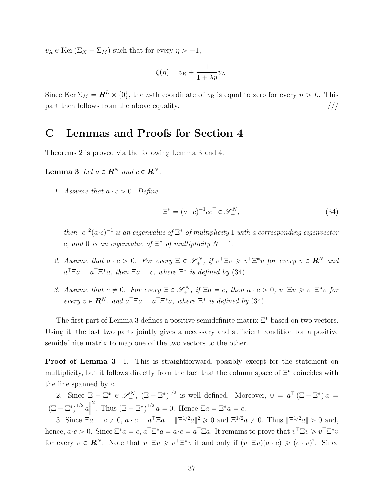$v_A \in \text{Ker}(\Sigma_X - \Sigma_M)$  such that for every  $\eta > -1$ ,

$$
\zeta(\eta) = v_{\mathcal{R}} + \frac{1}{1 + \lambda \eta} v_{\mathcal{A}}.
$$

Since Ker  $\Sigma_M = \mathbb{R}^L \times \{0\}$ , the *n*-th coordinate of  $v_R$  is equal to zero for every  $n > L$ . This part then follows from the above equality.  $\frac{1}{1}$ 

## **C Lemmas and Proofs for Section 4**

Theorems 2 is proved via the following Lemma 3 and 4.

**Lemma 3** Let  $a \in \mathbb{R}^N$  and  $c \in \mathbb{R}^N$ .

*1.* Assume that  $a \cdot c > 0$ . Define

$$
\Xi^* = (a \cdot c)^{-1} c c^\top \in \mathcal{S}_+^N,\tag{34}
$$

*then*  $||c||^2(a \cdot c)^{-1}$  *is an eigenvalue of*  $\Xi^*$  *of multiplicity* 1 *with a corresponding eigenvector c*, and 0 *is an eigenvalue of*  $\Xi^*$  *of multiplicity*  $N - 1$ *.* 

- 2. Assume that  $a \cdot c > 0$ . For every  $\Xi \in \mathscr{S}_+^N$ , if  $v^T \Xi v \geq v^T \Xi^* v$  for every  $v \in \mathbb{R}^N$  and  $a^{\top} \Xi a = a^{\top} \Xi^* a$ , then  $\Xi a = c$ , where  $\Xi^*$  is defined by (34).
- *3.* Assume that  $c \neq 0$ . For every  $\Xi \in \mathcal{S}_+^N$ , if  $\Xi a = c$ , then  $a \cdot c > 0$ ,  $v^T \Xi v \geq v^T \Xi^* v$  for *every*  $v \in \mathbb{R}^N$ , and  $a^T \Xi a = a^T \Xi^* a$ , where  $\Xi^*$  is defined by (34).

The first part of Lemma 3 defines a positive semidefinite matrix  $\Xi^*$  based on two vectors. Using it, the last two parts jointly gives a necessary and sufficient condition for a positive semidefinite matrix to map one of the two vectors to the other.

**Proof of Lemma 3** 1. This is straightforward, possibly except for the statement on multiplicity, but it follows directly from the fact that the column space of Ξ˚ coincides with the line spanned by *c*.

2. Since  $\Xi - \Xi^* \in \mathscr{S}_+^N$ ,  $(\Xi - \Xi^*)^{1/2}$  is well defined. Moreover,  $0 = a^{\top} (\Xi - \Xi^*) a =$  $\left\| (\Xi - \Xi^*)^{1/2} a \right\|$ › <sup>2</sup>. Thus  $(\Xi - \Xi^*)^{1/2} a = 0$ . Hence  $\Xi a = \Xi^* a = c$ .

3. Since  $\Xi a = c \neq 0$ ,  $a \cdot c = a^{\top} \Xi a = ||\Xi^{1/2} a||^2 \geq 0$  and  $\Xi^{1/2} a \neq 0$ . Thus  $||\Xi^{1/2} a|| > 0$  and, hence,  $a \cdot c > 0$ . Since  $\Xi^* a = c$ ,  $a^{\top} \Xi^* a = a \cdot c = a^{\top} \Xi a$ . It remains to prove that  $v^{\top} \Xi v \geqslant v^{\top} \Xi^* v$ for every  $v \in \mathbb{R}^N$ . Note that  $v^\top \Xi v \geq v^\top \Xi^* v$  if and only if  $(v^\top \Xi v)(a \cdot c) \geqslant (c \cdot v)^2$ . Since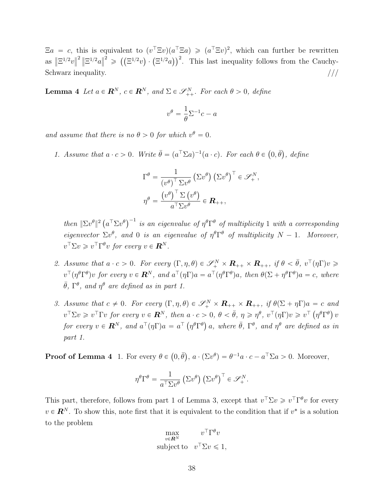$\Xi a = c$ , this is equivalent to  $(v^T \Xi v)(a^T \Xi a) \geqslant (a^T \Xi v)^2$ , which can further be rewritten as  $\|\Xi^{1/2}v\|$ <sup>2</sup>  $\|\Xi^{1/2}a\|$  $\mathcal{L}^2 \geqslant \left( \left( \mathbb{E}^{1/2} v \right) \cdot \left( \mathbb{E}^{1/2} a \right) \right)^2$ . This last inequality follows from the Cauchy-Schwarz inequality.  $/$ //

**Lemma 4** *Let*  $a \in \mathbb{R}^N$ ,  $c \in \mathbb{R}^N$ , and  $\Sigma \in \mathcal{S}_{++}^N$ . For each  $\theta > 0$ , define

$$
v^{\theta} = \frac{1}{\theta} \Sigma^{-1} c - a
$$

*and assume that there is no*  $\theta > 0$  *for which*  $v^{\theta} = 0$ *.* 

*1.* Assume that  $a \cdot c > 0$ . Write  $\bar{\theta} = (a^{\top} \Sigma a)^{-1} (a \cdot c)$ . For each  $\theta \in (0, \bar{\theta})$ , define

$$
\Gamma^{\theta} = \frac{1}{(v^{\theta})^{\top} \Sigma v^{\theta}} (\Sigma v^{\theta}) (\Sigma v^{\theta})^{\top} \in \mathscr{S}_{+}^{N},
$$

$$
\eta^{\theta} = \frac{(v^{\theta})^{\top} \Sigma (v^{\theta})}{a^{\top} \Sigma v^{\theta}} \in \mathbf{R}_{++},
$$

 $\int$ *then*  $\int \Sigma v^{\theta} \vert^{2} (a^{\top} \Sigma v^{\theta})^{-1}$  *is an eigenvalue of*  $\eta^{\theta} \Gamma^{\theta}$  *of multiplicity* 1 *with a corresponding eigenvector*  $\Sigma v^{\theta}$ , and 0 *is an eigenvalue of*  $\eta^{\theta} \Gamma^{\theta}$  *of multiplicity*  $N - 1$ *. Moreover,*  $v^{\top} \Sigma v \geq v^{\top} \Gamma^{\theta} v$  for every  $v \in \mathbf{R}^{N}$ .

- *2. Assume that*  $a \cdot c > 0$ *. For every*  $(\Gamma, \eta, \theta) \in \mathscr{S}_+^N \times \mathbb{R}_{++} \times \mathbb{R}_{++}$ , if  $\theta < \bar{\theta}$ ,  $v^{\top}(\eta \Gamma)v \geq 0$  $v^\top(\eta^\theta\Gamma^\theta)v$  for every  $v\in\mathbf{R}^N$ , and  $a^\top(\eta\Gamma)a=a^\top(\eta^\theta\Gamma^\theta)a$ , then  $\theta(\Sigma+\eta^\theta\Gamma^\theta)a=c$ , where  $\bar{\theta}$ ,  $\Gamma^{\theta}$ *, and*  $\eta^{\theta}$  *are defined as in part 1.*
- *3.* Assume that  $c \neq 0$ . For every  $(\Gamma, \eta, \theta) \in \mathscr{S}_+^N \times \mathbb{R}_{++} \times \mathbb{R}_{++}$ , if  $\theta(\Sigma + \eta \Gamma)a = c$  and  $v^{\top} \Sigma v \geq v^{\top} \Gamma v$  for every  $v \in \mathbf{R}^{N}$ , then  $a \cdot c > 0$ ,  $\theta < \bar{\theta}$ ,  $\eta \geqslant \eta^{\theta}$ ,  $v^{\top}(\eta \Gamma)v \geqslant v^{\top}(\eta^{\theta} \Gamma^{\theta}) v$ for every  $v \in \mathbf{R}^N$ , and  $a^{\top}(\eta \Gamma)a = a^{\top}(\eta^{\theta} \Gamma^{\theta})a$ , where  $\bar{\theta}$ ,  $\Gamma^{\theta}$ , and  $\eta^{\theta}$  are defined as in *part 1.*

**Proof of Lemma 4** 1. For every  $\theta \in (0, \bar{\theta}), a \cdot (\Sigma v^{\theta}) = \theta^{-1}a \cdot c - a^{\top} \Sigma a > 0$ . Moreover,

$$
\eta^{\theta} \Gamma^{\theta} = \frac{1}{a^{\top} \Sigma v^{\theta}} \left( \Sigma v^{\theta} \right) \left( \Sigma v^{\theta} \right)^{\top} \in \mathscr{S}_{+}^{N}.
$$

This part, therefore, follows from part 1 of Lemma 3, except that  $v^{\top} \Sigma v \geq v^{\top} \Gamma^{\theta} v$  for every  $v \in \mathbb{R}^N$ . To show this, note first that it is equivalent to the condition that if  $v^*$  is a solution to the problem

$$
\max_{v \in \mathbf{R}^N} v^{\top} \Gamma^{\theta} v
$$
\nsubject to 
$$
v^{\top} \Sigma v \leq 1,
$$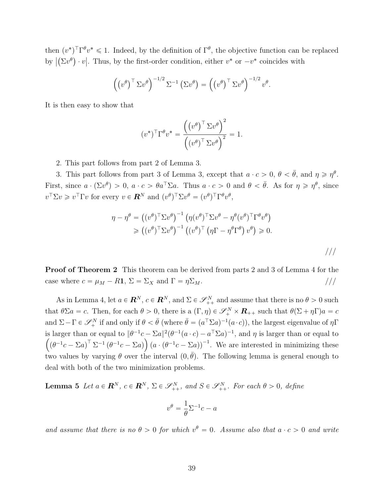then  $(v^*)^T \Gamma^{\theta} v^* \leq 1$ . Indeed, by the definition of  $\Gamma^{\theta}$ , the objective function can be replaced by  $|(\Sigma v^{\theta}) \cdot v|$ . Thus, by the first-order condition, either  $v^*$  or  $-v^*$  coincides with

$$
\left(\left(v^{\theta}\right)^{\top} \Sigma v^{\theta}\right)^{-1/2} \Sigma^{-1} \left(\Sigma v^{\theta}\right) = \left(\left(v^{\theta}\right)^{\top} \Sigma v^{\theta}\right)^{-1/2} v^{\theta}.
$$

It is then easy to show that

$$
(v^*)^{\top} \Gamma^{\theta} v^* = \frac{((v^{\theta})^{\top} \Sigma v^{\theta})^2}{((v^{\theta})^{\top} \Sigma v^{\theta})^2} = 1.
$$

2. This part follows from part 2 of Lemma 3.

3. This part follows from part 3 of Lemma 3, except that  $a \cdot c > 0$ ,  $\theta < \bar{\theta}$ , and  $\eta \ge \eta^{\theta}$ . First, since  $a \cdot (\Sigma v^{\theta}) > 0$ ,  $a \cdot c > \theta a^{\top} \Sigma a$ . Thus  $a \cdot c > 0$  and  $\theta < \bar{\theta}$ . As for  $\eta \geq \eta^{\theta}$ , since  $v^{\top} \Sigma v \geq v^{\top} \Gamma v$  for every  $v \in \mathbb{R}^{N}$  and  $(v^{\theta})^{\top} \Sigma v^{\theta} = (v^{\theta})^{\top} \Gamma^{\theta} v^{\theta}$ ,

$$
\eta - \eta^{\theta} = ((v^{\theta})^{\top} \Sigma v^{\theta})^{-1} (\eta (v^{\theta})^{\top} \Sigma v^{\theta} - \eta^{\theta} (v^{\theta})^{\top} \Gamma^{\theta} v^{\theta})
$$
  
\n
$$
\geq ((v^{\theta})^{\top} \Sigma v^{\theta})^{-1} ((v^{\theta})^{\top} (\eta \Gamma - \eta^{\theta} \Gamma^{\theta}) v^{\theta}) \geq 0.
$$

**Proof of Theorem 2** This theorem can be derived from parts 2 and 3 of Lemma 4 for the case where  $c = \mu_M - R\mathbf{1}, \Sigma = \Sigma_X$  and  $\Gamma = \eta \Sigma_M$ . ///

As in Lemma 4, let  $a \in \mathbb{R}^N$ ,  $c \in \mathbb{R}^N$ , and  $\Sigma \in \mathcal{S}_{++}^N$  and assume that there is no  $\theta > 0$  such that  $\theta \Sigma a = c$ . Then, for each  $\theta > 0$ , there is a  $(\Gamma, \eta) \in \mathscr{S}_+^N \times \mathbb{R}_{++}$  such that  $\theta(\Sigma + \eta \Gamma)a = c$ and  $\Sigma - \Gamma \in \mathscr{S}_+^N$  if and only if  $\theta < \bar{\theta}$  (where  $\bar{\theta} = (a^T \Sigma a)^{-1} (a \cdot c)$ ), the largest eigenvalue of  $\eta \Gamma$ is larger than or equal to  $\|\theta^{-1}c - \Sigma a\|^2(\theta^{-1}(a \cdot c) - a^{\top} \Sigma a)^{-1}$ , and  $\eta$  is larger than or equal to  $\left((\theta^{-1}c - \Sigma a)^{\top} \Sigma^{-1} (\theta^{-1}c - \Sigma a)\right) (a \cdot (\theta^{-1}c - \Sigma a))^{-1}$ . We are interested in minimizing these two values by varying  $\theta$  over the interval  $(0, \bar{\theta})$ . The following lemma is general enough to deal with both of the two minimization problems.

**Lemma 5** *Let*  $a \in \mathbb{R}^N$ ,  $c \in \mathbb{R}^N$ ,  $\Sigma \in \mathcal{S}_{++}^N$ , and  $S \in \mathcal{S}_{++}^N$ . For each  $\theta > 0$ , define

$$
v^{\theta} = \frac{1}{\theta} \Sigma^{-1} c - a
$$

*and assume that there is no*  $\theta > 0$  *for which*  $v^{\theta} = 0$ *. Assume also that*  $a \cdot c > 0$  *and write*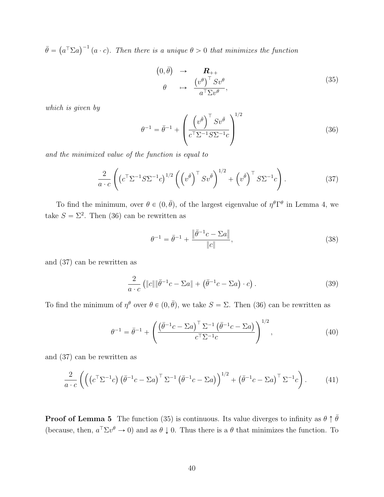$\bar{\theta} = (a^{\top} \Sigma a)^{-1} (a \cdot c)$ . Then there is a unique  $\theta > 0$  that minimizes the function

$$
\begin{array}{rcl}\n(0,\bar{\theta}) & \to & \mathbf{R}_{++} \\
\theta & \mapsto & \frac{\left(v^{\theta}\right)^{\top} S v^{\theta}}{a^{\top} \Sigma v^{\theta}},\n\end{array} \tag{35}
$$

*which is given by*

$$
\theta^{-1} = \bar{\theta}^{-1} + \left(\frac{\left(v^{\bar{\theta}}\right)^{\top} S v^{\bar{\theta}}}{c^{\top} \Sigma^{-1} S \Sigma^{-1} c}\right)^{1/2} \tag{36}
$$

*and the minimized value of the function is equal to*

$$
\frac{2}{a \cdot c} \left( \left( c^{\top} \Sigma^{-1} S \Sigma^{-1} c \right)^{1/2} \left( \left( v^{\bar{\theta}} \right)^{\top} S v^{\bar{\theta}} \right)^{1/2} + \left( v^{\bar{\theta}} \right)^{\top} S \Sigma^{-1} c \right). \tag{37}
$$

To find the minimum, over  $\theta \in (0, \bar{\theta})$ , of the largest eigenvalue of  $\eta^{\theta} \Gamma^{\theta}$  in Lemma 4, we take  $S = \Sigma^2$ . Then (36) can be rewritten as

$$
\theta^{-1} = \bar{\theta}^{-1} + \frac{\|\bar{\theta}^{-1}c - \Sigma a\|}{\|c\|},\tag{38}
$$

and (37) can be rewritten as

$$
\frac{2}{a \cdot c} \left( \|c\| \|\bar{\theta}^{-1}c - \Sigma a\| + \left(\bar{\theta}^{-1}c - \Sigma a\right) \cdot c \right). \tag{39}
$$

To find the minimum of  $\eta^{\theta}$  over  $\theta \in (0, \bar{\theta})$ , we take  $S = \Sigma$ . Then (36) can be rewritten as

$$
\theta^{-1} = \bar{\theta}^{-1} + \left( \frac{\left(\bar{\theta}^{-1}c - \Sigma a\right)^{\top} \Sigma^{-1} \left(\bar{\theta}^{-1}c - \Sigma a\right)}{c^{\top} \Sigma^{-1} c} \right)^{1/2},\tag{40}
$$

and (37) can be rewritten as

$$
\frac{2}{a \cdot c} \left( \left( \left( c^{\top} \Sigma^{-1} c \right) \left( \bar{\theta}^{-1} c - \Sigma a \right)^{\top} \Sigma^{-1} \left( \bar{\theta}^{-1} c - \Sigma a \right) \right)^{1/2} + \left( \bar{\theta}^{-1} c - \Sigma a \right)^{\top} \Sigma^{-1} c \right). \tag{41}
$$

**Proof of Lemma 5** The function (35) is continuous. Its value diverges to infinity as  $\theta \uparrow \bar{\theta}$ (because, then,  $a^{\top} \Sigma v^{\theta} \to 0$ ) and as  $\theta \downarrow 0$ . Thus there is a  $\theta$  that minimizes the function. To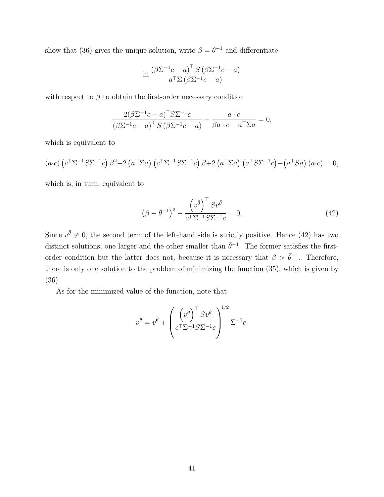show that (36) gives the unique solution, write  $\beta = \theta^{-1}$  and differentiate

$$
\ln \frac{\left(\beta \Sigma^{-1} c - a\right)^{\top} S \left(\beta \Sigma^{-1} c - a\right)}{a^{\top} \Sigma \left(\beta \Sigma^{-1} c - a\right)}
$$

with respect to  $\beta$  to obtain the first-order necessary condition

$$
\frac{2(\beta \Sigma^{-1} c - a)^{\top} S \Sigma^{-1} c}{(\beta \Sigma^{-1} c - a)^{\top} S (\beta \Sigma^{-1} c - a)} - \frac{a \cdot c}{\beta a \cdot c - a^{\top} \Sigma a} = 0,
$$

which is equivalent to

$$
(a \cdot c) \left( c^{\top} \Sigma^{-1} S \Sigma^{-1} c \right) \beta^2 - 2 \left( a^{\top} \Sigma a \right) \left( c^{\top} \Sigma^{-1} S \Sigma^{-1} c \right) \beta + 2 \left( a^{\top} \Sigma a \right) \left( a^{\top} S \Sigma^{-1} c \right) - \left( a^{\top} S a \right) \left( a \cdot c \right) = 0,
$$

which is, in turn, equivalent to

$$
\left(\beta - \bar{\theta}^{-1}\right)^2 - \frac{\left(v^{\bar{\theta}}\right)^{\top} S v^{\bar{\theta}}}{c^{\top} \Sigma^{-1} S \Sigma^{-1} c} = 0.
$$
\n(42)

Since  $v^{\bar{\theta}} \neq 0$ , the second term of the left-hand side is strictly positive. Hence (42) has two distinct solutions, one larger and the other smaller than  $\bar{\theta}^{-1}$ . The former satisfies the firstorder condition but the latter does not, because it is necessary that  $\beta > \bar{\theta}^{-1}$ . Therefore, there is only one solution to the problem of minimizing the function (35), which is given by (36).

As for the minimized value of the function, note that

$$
v^{\theta} = v^{\bar{\theta}} + \left(\frac{\left(v^{\bar{\theta}}\right)^{\top} S v^{\bar{\theta}}}{c^{\top} \Sigma^{-1} S \Sigma^{-1} c}\right)^{1/2} \Sigma^{-1} c.
$$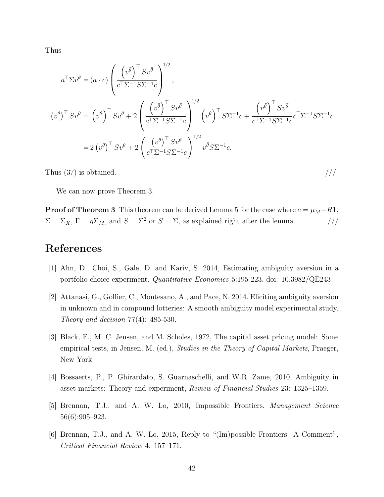Thus

$$
a^{\top} \Sigma v^{\theta} = (a \cdot c) \left( \frac{\left( v^{\bar{\theta}} \right)^{\top} S v^{\bar{\theta}}}{c^{\top} \Sigma^{-1} S \Sigma^{-1} c} \right)^{1/2},
$$
  

$$
\left( v^{\theta} \right)^{\top} S v^{\theta} = \left( v^{\bar{\theta}} \right)^{\top} S v^{\bar{\theta}} + 2 \left( \frac{\left( v^{\bar{\theta}} \right)^{\top} S v^{\bar{\theta}}}{c^{\top} \Sigma^{-1} S \Sigma^{-1} c} \right)^{1/2} \left( v^{\bar{\theta}} \right)^{\top} S \Sigma^{-1} c + \frac{\left( v^{\bar{\theta}} \right)^{\top} S v^{\bar{\theta}}}{c^{\top} \Sigma^{-1} S \Sigma^{-1} c} c^{\top} \Sigma^{-1} S \Sigma^{-1} c
$$
  

$$
= 2 \left( v^{\theta} \right)^{\top} S v^{\theta} + 2 \left( \frac{\left( v^{\theta} \right)^{\top} S v^{\theta}}{c^{\top} \Sigma^{-1} S \Sigma^{-1} c} \right)^{1/2} v^{\bar{\theta}} S \Sigma^{-1} c.
$$

Thus  $(37)$  is obtained.  $/$ //

We can now prove Theorem 3.

**Proof of Theorem 3** This theorem can be derived Lemma 5 for the case where  $c = \mu_M - R$ **1**,  $\Sigma = \Sigma_X$ ,  $\Gamma = \eta \Sigma_M$ , and  $S = \Sigma^2$  or  $S = \Sigma$ , as explained right after the lemma. ///

# **References**

- [1] Ahn, D., Choi, S., Gale, D. and Kariv, S. 2014, Estimating ambiguity aversion in a portfolio choice experiment. *Quantitative Economics* 5:195-223. doi: 10.3982/QE243
- [2] Attanasi, G., Gollier, C., Montesano, A., and Pace, N. 2014. Eliciting ambiguity aversion in unknown and in compound lotteries: A smooth ambiguity model experimental study. *Theory and decision* 77(4): 485-530.
- [3] Black, F., M. C. Jensen, and M. Scholes, 1972, The capital asset pricing model: Some empirical tests, in Jensen, M. (ed.), *Studies in the Theory of Capital Markets*, Praeger, New York
- [4] Bossaerts, P., P. Ghirardato, S. Guarnaschelli, and W.R. Zame, 2010, Ambiguity in asset markets: Theory and experiment, *Review of Financial Studies* 23: 1325–1359.
- [5] Brennan, T.J., and A. W. Lo, 2010, Impossible Frontiers. *Management Science* 56(6):905–923.
- [6] Brennan, T.J., and A. W. Lo, 2015, Reply to "(Im)possible Frontiers: A Comment", *Critical Financial Review* 4: 157–171.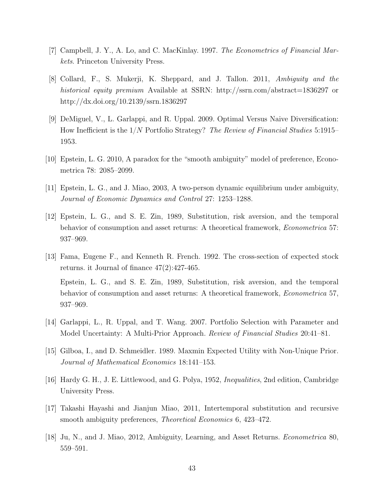- [7] Campbell, J. Y., A. Lo, and C. MacKinlay. 1997. *The Econometrics of Financial Markets*. Princeton University Press.
- [8] Collard, F., S. Mukerji, K. Sheppard, and J. Tallon. 2011, *Ambiguity and the historical equity premium* Available at SSRN: http://ssrn.com/abstract=1836297 or http://dx.doi.org/10.2139/ssrn.1836297
- [9] DeMiguel, V., L. Garlappi, and R. Uppal. 2009. Optimal Versus Naive Diversification: How Inefficient is the 1{*N* Portfolio Strategy? *The Review of Financial Studies* 5:1915– 1953.
- [10] Epstein, L. G. 2010, A paradox for the "smooth ambiguity" model of preference, Econometrica 78: 2085–2099.
- [11] Epstein, L. G., and J. Miao, 2003, A two-person dynamic equilibrium under ambiguity, *Journal of Economic Dynamics and Control* 27: 1253–1288.
- [12] Epstein, L. G., and S. E. Zin, 1989, Substitution, risk aversion, and the temporal behavior of consumption and asset returns: A theoretical framework, *Econometrica* 57: 937–969.
- [13] Fama, Eugene F., and Kenneth R. French. 1992. The cross-section of expected stock returns. it Journal of finance 47(2):427-465. Epstein, L. G., and S. E. Zin, 1989, Substitution, risk aversion, and the temporal behavior of consumption and asset returns: A theoretical framework, *Econometrica* 57, 937–969.
- [14] Garlappi, L., R. Uppal, and T. Wang. 2007. Portfolio Selection with Parameter and Model Uncertainty: A Multi-Prior Approach. *Review of Financial Studies* 20:41–81.
- [15] Gilboa, I., and D. Schmeidler. 1989. Maxmin Expected Utility with Non-Unique Prior. *Journal of Mathematical Economics* 18:141–153.
- [16] Hardy G. H., J. E. Littlewood, and G. Polya, 1952, *Inequalities*, 2nd edition, Cambridge University Press.
- [17] Takashi Hayashi and Jianjun Miao, 2011, Intertemporal substitution and recursive smooth ambiguity preferences, *Theoretical Economics* 6, 423–472.
- [18] Ju, N., and J. Miao, 2012, Ambiguity, Learning, and Asset Returns. *Econometrica* 80, 559–591.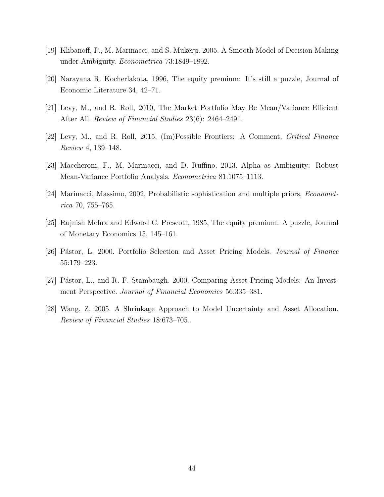- [19] Klibanoff, P., M. Marinacci, and S. Mukerji. 2005. A Smooth Model of Decision Making under Ambiguity. *Econometrica* 73:1849–1892.
- [20] Narayana R. Kocherlakota, 1996, The equity premium: It's still a puzzle, Journal of Economic Literature 34, 42–71.
- [21] Levy, M., and R. Roll, 2010, The Market Portfolio May Be Mean/Variance Efficient After All. *Review of Financial Studies* 23(6): 2464–2491.
- [22] Levy, M., and R. Roll, 2015, (Im)Possible Frontiers: A Comment, *Critical Finance Review* 4, 139–148.
- [23] Maccheroni, F., M. Marinacci, and D. Ruffino. 2013. Alpha as Ambiguity: Robust Mean-Variance Portfolio Analysis. *Econometrica* 81:1075–1113.
- [24] Marinacci, Massimo, 2002, Probabilistic sophistication and multiple priors, *Econometrica* 70, 755–765.
- [25] Rajnish Mehra and Edward C. Prescott, 1985, The equity premium: A puzzle, Journal of Monetary Economics 15, 145–161.
- [26] P´astor, L. 2000. Portfolio Selection and Asset Pricing Models. *Journal of Finance* 55:179–223.
- [27] Pástor, L., and R. F. Stambaugh. 2000. Comparing Asset Pricing Models: An Investment Perspective. *Journal of Financial Economics* 56:335–381.
- [28] Wang, Z. 2005. A Shrinkage Approach to Model Uncertainty and Asset Allocation. *Review of Financial Studies* 18:673–705.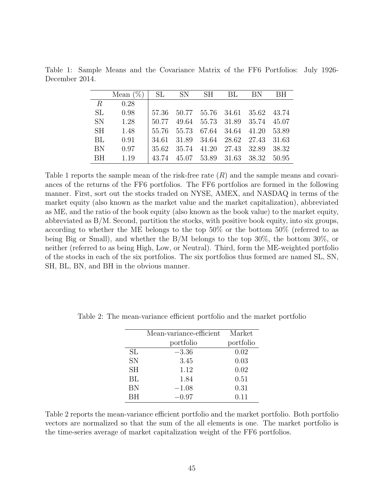|                 | Mean $(\%)$ | SL    | $\text{SN}$ | SH | BL                | BN                                  | BH      |
|-----------------|-------------|-------|-------------|----|-------------------|-------------------------------------|---------|
| $R_{\parallel}$ | 0.28        |       |             |    |                   |                                     |         |
| SL.             | 0.98        |       |             |    |                   | 57.36 50.77 55.76 34.61 35.62 43.74 |         |
| <b>SN</b>       | 1.28        | 50.77 | 49.64       |    |                   | 55.73 31.89 35.74 45.07             |         |
| SH.             | 1.48        |       | 55.76 55.73 |    | 67.64 34.64 41.20 |                                     | - 53.89 |
| BL              | 0.91        | 34.61 | 31.89       |    |                   | 34.64 28.62 27.43 31.63             |         |
| <b>BN</b>       | 0.97        | 35.62 | 35.74       |    | 41.20 27.43 32.89 |                                     | - 38.32 |
| <b>BH</b>       | 1.19        | 43.74 |             |    |                   | 45.07 53.89 31.63 38.32 50.95       |         |

Table 1: Sample Means and the Covariance Matrix of the FF6 Portfolios: July 1926- December 2014.

Table 1 reports the sample mean of the risk-free rate (*R*) and the sample means and covariances of the returns of the FF6 portfolios. The FF6 portfolios are formed in the following manner. First, sort out the stocks traded on NYSE, AMEX, and NASDAQ in terms of the market equity (also known as the market value and the market capitalization), abbreviated as ME, and the ratio of the book equity (also known as the book value) to the market equity, abbreviated as B/M. Second, partition the stocks, with positive book equity, into six groups, according to whether the ME belongs to the top 50% or the bottom 50% (referred to as being Big or Small), and whether the B/M belongs to the top 30%, the bottom 30%, or neither (referred to as being High, Low, or Neutral). Third, form the ME-weighted portfolio of the stocks in each of the six portfolios. The six portfolios thus formed are named SL, SN, SH, BL, BN, and BH in the obvious manner.

|           | Mean-variance-efficient | Market    |
|-----------|-------------------------|-----------|
|           | portfolio               | portfolio |
| SL        | $-3.36$                 | 0.02      |
| <b>SN</b> | 3.45                    | 0.03      |
| <b>SH</b> | 1.12                    | 0.02      |
| BL        | 1.84                    | 0.51      |
| <b>BN</b> | $-1.08$                 | 0.31      |
| <b>BH</b> | $-0.97$                 | 0.11      |

Table 2: The mean-variance efficient portfolio and the market portfolio

Table 2 reports the mean-variance efficient portfolio and the market portfolio. Both portfolio vectors are normalized so that the sum of the all elements is one. The market portfolio is the time-series average of market capitalization weight of the FF6 portfolios.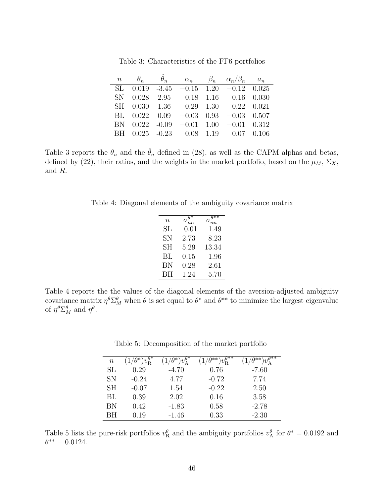|     | $n \qquad \theta_n$ |  | $\alpha_n$ $\beta_n$ $\alpha_n/\beta_n$ $a_n$    |  |
|-----|---------------------|--|--------------------------------------------------|--|
| SL. |                     |  | $0.019 -3.45 -0.15$ 1.20 $-0.12$ 0.025           |  |
|     |                     |  | SN 0.028 2.95 0.18 1.16 0.16 0.030               |  |
|     |                     |  | SH 0.030 1.36 0.29 1.30 0.22 0.021               |  |
|     |                     |  | BL $0.022$ $0.09$ $-0.03$ $0.93$ $-0.03$ $0.507$ |  |
|     |                     |  | BN $0.022 -0.09 -0.01$ $1.00 -0.01$ $0.312$      |  |
|     |                     |  | BH 0.025 -0.23 0.08 1.19 0.07 0.106              |  |

Table 3: Characteristics of the FF6 portfolios

Table 3 reports the  $\theta_n$  and the  $\hat{\theta}_n$  defined in (28), as well as the CAPM alphas and betas, defined by (22), their ratios, and the weights in the market portfolio, based on the  $\mu_M$ ,  $\Sigma_X$ , and *R*.

Table 4: Diagonal elements of the ambiguity covariance matrix

| n  |            | Ο     |
|----|------------|-------|
| SL | $\rm 0.01$ | 1.49  |
| SN | 2.73       | 8.23  |
| SН | 5.29       | 13.34 |
| BL | $\rm 0.15$ | 1.96  |
| BN | 0.28       | 2.61  |
| ΒH | 1.24       | 5.70  |
|    |            |       |

Table 4 reports the the values of the diagonal elements of the aversion-adjusted ambiguity covariance matrix  $\eta^{\theta} \Sigma_M^{\theta}$  when  $\theta$  is set equal to  $\theta^*$  and  $\theta^{**}$  to minimize the largest eigenvalue of  $\eta^{\theta} \Sigma_M^{\theta}$  and  $\eta^{\theta}$ .

Table 5: Decomposition of the market portfolio

| $\it n$   | $\overline{v_{\rm R}^{\theta^*}}$ | $w^{\theta*}$ | $w^{\theta^{**}}$<br>ገ** | $\theta^{**}$<br>า∗∗` |
|-----------|-----------------------------------|---------------|--------------------------|-----------------------|
| SL        | 0.29                              | $-4.70$       | 0.76                     | $-7.60$               |
| SN        | $-0.24$                           | 4.77          | $-0.72$                  | 7.74                  |
| <b>SH</b> | $-0.07$                           | 1.54          | $-0.22$                  | 2.50                  |
| BL        | 0.39                              | 2.02          | 0.16                     | 3.58                  |
| ΒN        | 0.42                              | $-1.83$       | 0.58                     | $-2.78$               |
| RН        | 0.19                              | $-1.46$       | 0.33                     | $-2.30$               |

Table 5 lists the pure-risk portfolios  $v_R^{\theta}$  and the ambiguity portfolios  $v_A^{\theta}$  for  $\theta^* = 0.0192$  and  $\theta^{**} = 0.0124.$